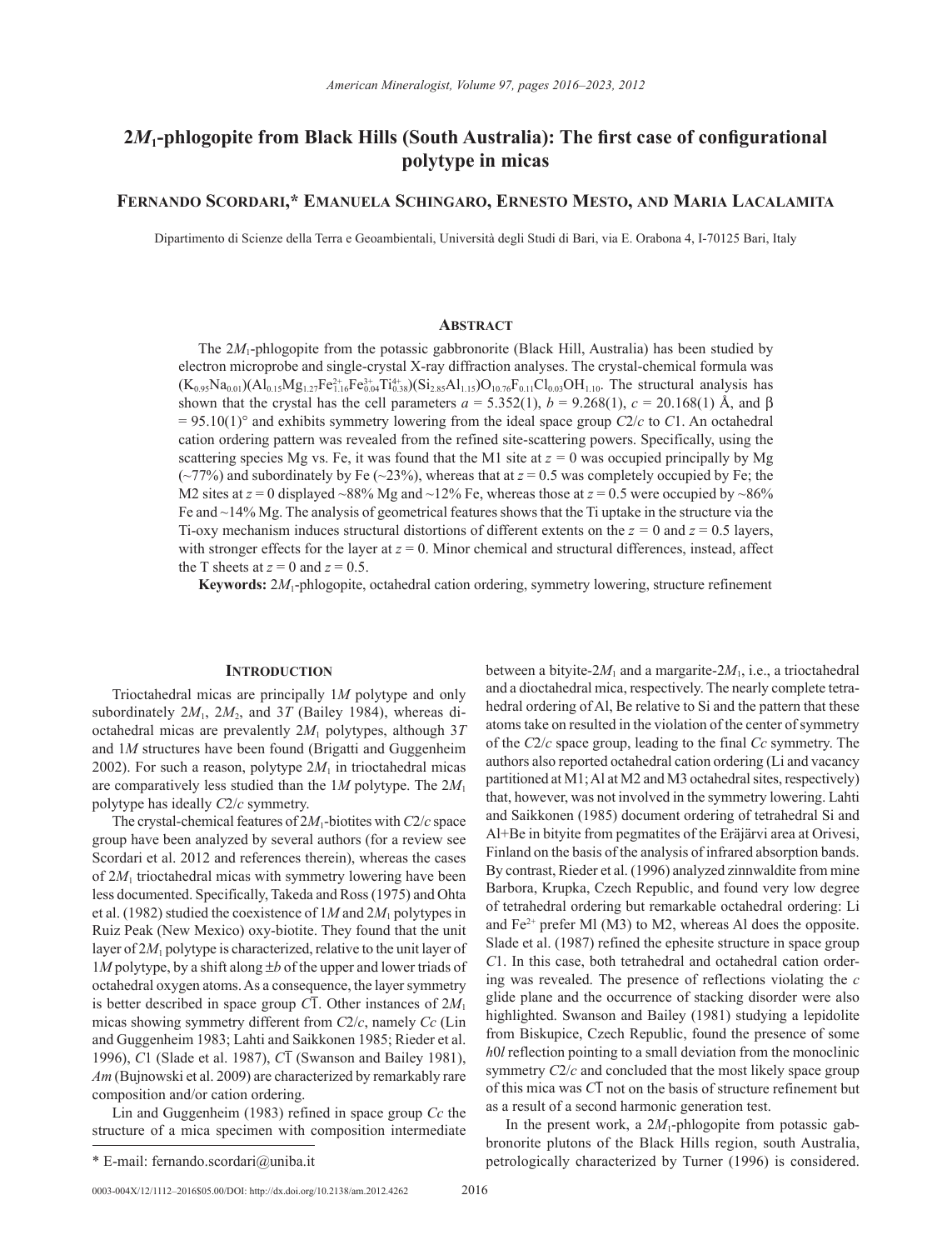# **2***M***1-phlogopite from Black Hills (South Australia): The first case of configurational polytype in micas**

# **Fernando Scordari,\* Emanuela Schingaro, Ernesto Mesto, and Maria Lacalamita**

Dipartimento di Scienze della Terra e Geoambientali, Università degli Studi di Bari, via E. Orabona 4, I-70125 Bari, Italy

### **Abstract**

The 2*M*<sub>1</sub>-phlogopite from the potassic gabbronorite (Black Hill, Australia) has been studied by electron microprobe and single-crystal X-ray diffraction analyses. The crystal-chemical formula was  $(K_{0.95}Na_{0.01})(Al_{0.15}Mg_{1.27}Fe_{1.16}^{2+}Fe_{0.04}^{3+}Ti_{0.38}^{4})(Si_{2.85}Al_{1.15})O_{10.76}F_{0.11}Cl_{0.03}OH_{1.10}$ . The structural analysis has shown that the crystal has the cell parameters  $a = 5.352(1)$ ,  $b = 9.268(1)$ ,  $c = 20.168(1)$  Å, and  $\beta$  $= 95.10(1)$ ° and exhibits symmetry lowering from the ideal space group *C*2/*c* to *C*1. An octahedral cation ordering pattern was revealed from the refined site-scattering powers. Specifically, using the scattering species Mg vs. Fe, it was found that the M1 site at  $z = 0$  was occupied principally by Mg ( $\sim$ 77%) and subordinately by Fe ( $\sim$ 23%), whereas that at  $z = 0.5$  was completely occupied by Fe; the M2 sites at  $z = 0$  displayed ~88% Mg and ~12% Fe, whereas those at  $z = 0.5$  were occupied by ~86% Fe and ~14% Mg. The analysis of geometrical features shows that the Ti uptake in the structure via the Ti-oxy mechanism induces structural distortions of different extents on the  $z = 0$  and  $z = 0.5$  layers, with stronger effects for the layer at  $z = 0$ . Minor chemical and structural differences, instead, affect the T sheets at  $z = 0$  and  $z = 0.5$ .

**Keywords:** 2*M*1-phlogopite, octahedral cation ordering, symmetry lowering, structure refinement

## **INTRODUCTION**

Trioctahedral micas are principally 1*M* polytype and only subordinately  $2M_1$ ,  $2M_2$ , and  $3T$  (Bailey 1984), whereas dioctahedral micas are prevalently 2*M*1 polytypes, although 3*T* and 1*M* structures have been found (Brigatti and Guggenheim 2002). For such a reason, polytype  $2M_1$  in trioctahedral micas are comparatively less studied than the 1*M* polytype. The 2*M*<sup>1</sup> polytype has ideally *C*2/*c* symmetry.

The crystal-chemical features of 2*M*1-biotites with *C*2/*c* space group have been analyzed by several authors (for a review see Scordari et al. 2012 and references therein), whereas the cases of  $2M_1$  trioctahedral micas with symmetry lowering have been less documented. Specifically, Takeda and Ross (1975) and Ohta et al. (1982) studied the coexistence of 1*M* and 2*M*1 polytypes in Ruiz Peak (New Mexico) oxy-biotite. They found that the unit layer of 2*M*1 polytype is characterized, relative to the unit layer of 1*M* polytype, by a shift along ±*b* of the upper and lower triads of octahedral oxygen atoms. As a consequence, the layer symmetry is better described in space group  $\overline{CI}$ . Other instances of  $2M_1$ micas showing symmetry different from *C*2/*c*, namely *Cc* (Lin and Guggenheim 1983; Lahti and Saikkonen 1985; Rieder et al. 1996), *C*1 (Slade et al. 1987), *C*1 (Swanson and Bailey 1981), *Am* (Bujnowski et al. 2009) are characterized by remarkably rare composition and/or cation ordering.

Lin and Guggenheim (1983) refined in space group *Cc* the structure of a mica specimen with composition intermediate between a bityite- $2M_1$  and a margarite- $2M_1$ , i.e., a trioctahedral and a dioctahedral mica, respectively. The nearly complete tetrahedral ordering of Al, Be relative to Si and the pattern that these atoms take on resulted in the violation of the center of symmetry of the *C*2/*c* space group, leading to the final *Cc* symmetry. The authors also reported octahedral cation ordering (Li and vacancy partitioned at M1; Al at M2 and M3 octahedral sites, respectively) that, however, was not involved in the symmetry lowering. Lahti and Saikkonen (1985) document ordering of tetrahedral Si and Al+Be in bityite from pegmatites of the Eräjärvi area at Orivesi, Finland on the basis of the analysis of infrared absorption bands. By contrast, Rieder et al. (1996) analyzed zinnwaldite from mine Barbora, Krupka, Czech Republic, and found very low degree of tetrahedral ordering but remarkable octahedral ordering: Li and  $Fe^{2+}$  prefer Ml (M3) to M2, whereas Al does the opposite. Slade et al. (1987) refined the ephesite structure in space group *C*1. In this case, both tetrahedral and octahedral cation ordering was revealed. The presence of reflections violating the *c* glide plane and the occurrence of stacking disorder were also highlighted. Swanson and Bailey (1981) studying a lepidolite from Biskupice, Czech Republic, found the presence of some *h*0*l* reflection pointing to a small deviation from the monoclinic symmetry  $C2/c$  and concluded that the most likely space group of this mica was *C*1 not on the basis of structure refinement but as a result of a second harmonic generation test.

In the present work, a  $2M_1$ -phlogopite from potassic gabbronorite plutons of the Black Hills region, south Australia, \* E-mail: fernando.scordari@uniba.it petrologically characterized by Turner (1996) is considered.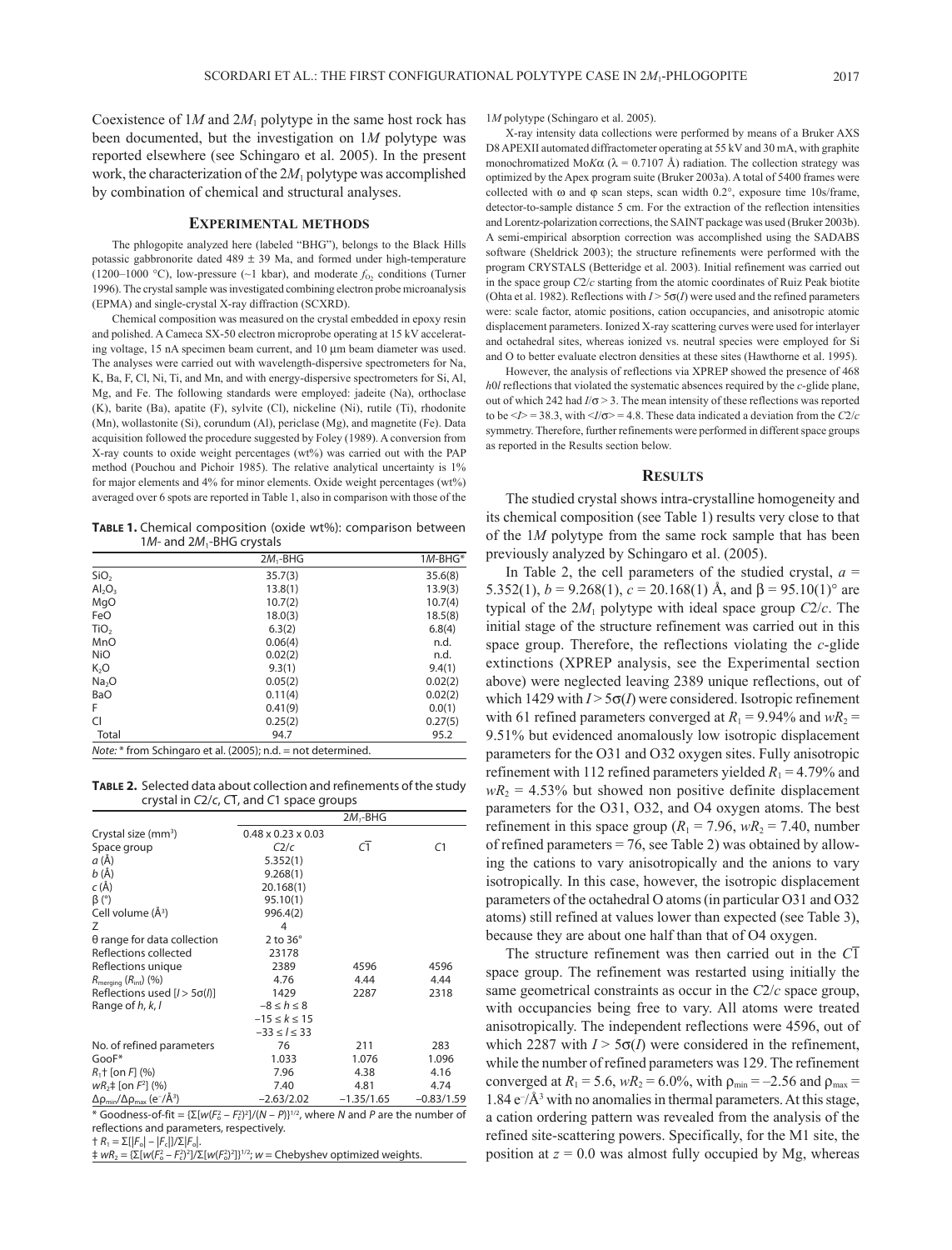Coexistence of 1*M* and 2*M*1 polytype in the same host rock has been documented, but the investigation on 1*M* polytype was reported elsewhere (see Schingaro et al. 2005). In the present work, the characterization of the 2*M*1 polytype was accomplished by combination of chemical and structural analyses.

#### **Experimental methods**

The phlogopite analyzed here (labeled "BHG"), belongs to the Black Hills potassic gabbronorite dated  $489 \pm 39$  Ma, and formed under high-temperature (1200–1000 °C), low-pressure (~1 kbar), and moderate  $f_0$ , conditions (Turner 1996). The crystal sample was investigated combining electron probe microanalysis (EPMA) and single-crystal X-ray diffraction (SCXRD).

Chemical composition was measured on the crystal embedded in epoxy resin and polished. A Cameca SX-50 electron microprobe operating at 15 kV accelerating voltage, 15 nA specimen beam current, and 10 µm beam diameter was used. The analyses were carried out with wavelength-dispersive spectrometers for Na, K, Ba, F, Cl, Ni, Ti, and Mn, and with energy-dispersive spectrometers for Si, Al, Mg, and Fe. The following standards were employed: jadeite (Na), orthoclase (K), barite (Ba), apatite (F), sylvite (Cl), nickeline (Ni), rutile (Ti), rhodonite (Mn), wollastonite (Si), corundum (Al), periclase (Mg), and magnetite (Fe). Data acquisition followed the procedure suggested by Foley (1989). A conversion from X-ray counts to oxide weight percentages (wt%) was carried out with the PAP method (Pouchou and Pichoir 1985). The relative analytical uncertainty is 1% for major elements and 4% for minor elements. Oxide weight percentages (wt%) averaged over 6 spots are reported in Table 1, also in comparison with those of the

**Table 1.** Chemical composition (oxide wt%): comparison between 1*M*- and 2*M*1-BHG crystals

|                   | $2M_1$ -BHG | $1M$ -BHG* |
|-------------------|-------------|------------|
| SiO <sub>2</sub>  | 35.7(3)     | 35.6(8)    |
| $Al_2O_3$         | 13.8(1)     | 13.9(3)    |
| MgO               | 10.7(2)     | 10.7(4)    |
| FeO               | 18.0(3)     | 18.5(8)    |
| TiO <sub>2</sub>  | 6.3(2)      | 6.8(4)     |
| MnO               | 0.06(4)     | n.d.       |
| <b>NiO</b>        | 0.02(2)     | n.d.       |
| K <sub>2</sub> O  | 9.3(1)      | 9.4(1)     |
| Na <sub>2</sub> O | 0.05(2)     | 0.02(2)    |
| <b>BaO</b>        | 0.11(4)     | 0.02(2)    |
| F                 | 0.41(9)     | 0.0(1)     |
| CI                | 0.25(2)     | 0.27(5)    |
| Total             | 94.7        | 95.2       |
|                   | $N = 1$     |            |

*Note:* \* from Schingaro et al. (2005); n.d. = not determined.

**Table 2.** Selected data about collection and refinements of the study crystal in *C*2/*c*, *C*1, and *C*1 space groups

|                                                                                     |                                | $2M1$ -BHG     |              |
|-------------------------------------------------------------------------------------|--------------------------------|----------------|--------------|
| Crystal size (mm <sup>3</sup> )                                                     | $0.48 \times 0.23 \times 0.03$ |                |              |
| Space group                                                                         | C2/c                           | $\overline{C}$ | C1           |
| a (Å)                                                                               | 5.352(1)                       |                |              |
| b(A)                                                                                | 9.268(1)                       |                |              |
| $c(\AA)$                                                                            | 20.168(1)                      |                |              |
| $\beta$ (°)                                                                         | 95.10(1)                       |                |              |
| Cell volume (Å <sup>3</sup> )                                                       | 996.4(2)                       |                |              |
| Ζ                                                                                   | 4                              |                |              |
| $\theta$ range for data collection                                                  | $2$ to $36^\circ$              |                |              |
| Reflections collected                                                               | 23178                          |                |              |
| Reflections unique                                                                  | 2389                           | 4596           | 4596         |
| $R_{\text{meraina}} (R_{\text{int}}) (%)$                                           | 4.76                           | 4.44           | 4.44         |
| Reflections used $[1 > 5\sigma(l)]$                                                 | 1429                           | 2287           | 2318         |
| Range of h, k, l                                                                    | $-8 \leq h \leq 8$             |                |              |
|                                                                                     | $-15 \le k \le 15$             |                |              |
|                                                                                     | $-33 \le l \le 33$             |                |              |
| No. of refined parameters                                                           | 76                             | 211            | 283          |
| GooF*                                                                               | 1.033                          | 1.076          | 1.096        |
| $R_1$ † [on F] (%)                                                                  | 7.96                           | 4.38           | 4.16         |
| $wR_2$ = [on $F^2$ ] (%)                                                            | 7.40                           | 4.81           | 4.74         |
| $\Delta\rho_{\text{min}}/\Delta\rho_{\text{max}}$ (e <sup>-</sup> /Å <sup>3</sup> ) | $-2.63/2.02$                   | $-1.35/1.65$   | $-0.83/1.59$ |

\* Goodness-of-fit =  $\{\Sigma[w(F_o^2 - F_c^2)^2]/(N - P)\}^{1/2}$ , where *N* and *P* are the number of reflections and parameters, respectively.

† *R*1 = Σ[|*F*o| – |*F*c|]/Σ|*F*o|.

 $\frac{1}{2}$  *wR*<sub>2</sub> = {Σ[*w*(*F*<sub>o</sub><sup>2</sup> - *F*<sub>c</sub><sup>2</sup>]/Σ[*w*(*F*<sub>o</sub><sup>2</sup>]}<sup>1/2</sup>; *w* = Chebyshev optimized weights.

1*M* polytype (Schingaro et al. 2005).

X-ray intensity data collections were performed by means of a Bruker AXS D8 APEXII automated diffractometer operating at 55 kV and 30 mA, with graphite monochromatized Mo*K* $\alpha$  ( $\lambda$  = 0.7107 Å) radiation. The collection strategy was optimized by the Apex program suite (Bruker 2003a). A total of 5400 frames were collected with  $\omega$  and  $\varphi$  scan steps, scan width 0.2°, exposure time 10s/frame, detector-to-sample distance 5 cm. For the extraction of the reflection intensities and Lorentz-polarization corrections, the SAINT package was used (Bruker 2003b). A semi-empirical absorption correction was accomplished using the SADABS software (Sheldrick 2003); the structure refinements were performed with the program CRYSTALS (Betteridge et al. 2003). Initial refinement was carried out in the space group *C*2/*c* starting from the atomic coordinates of Ruiz Peak biotite (Ohta et al. 1982). Reflections with  $I > 5\sigma(I)$  were used and the refined parameters were: scale factor, atomic positions, cation occupancies, and anisotropic atomic displacement parameters. Ionized X-ray scattering curves were used for interlayer and octahedral sites, whereas ionized vs. neutral species were employed for Si and O to better evaluate electron densities at these sites (Hawthorne et al. 1995).

However, the analysis of reflections via XPREP showed the presence of 468 *h*0*l* reflections that violated the systematic absences required by the *c*-glide plane, out of which 242 had *I*/σ > 3. The mean intensity of these reflections was reported to be  $\leq I$  = 38.3, with  $\leq I/\sigma$  > = 4.8. These data indicated a deviation from the *C*2/*c* symmetry. Therefore, further refinements were performed in different space groups as reported in the Results section below.

## **Results**

The studied crystal shows intra-crystalline homogeneity and its chemical composition (see Table 1) results very close to that of the 1*M* polytype from the same rock sample that has been previously analyzed by Schingaro et al. (2005).

In Table 2, the cell parameters of the studied crystal,  $a =$ 5.352(1),  $b = 9.268(1)$ ,  $c = 20.168(1)$  Å, and  $\beta = 95.10(1)$ ° are typical of the  $2M_1$  polytype with ideal space group  $C_2/c$ . The initial stage of the structure refinement was carried out in this space group. Therefore, the reflections violating the *c*-glide extinctions (XPREP analysis, see the Experimental section above) were neglected leaving 2389 unique reflections, out of which 1429 with  $I > 5\sigma(I)$  were considered. Isotropic refinement with 61 refined parameters converged at  $R_1 = 9.94\%$  and  $wR_2 =$ 9.51% but evidenced anomalously low isotropic displacement parameters for the O31 and O32 oxygen sites. Fully anisotropic refinement with 112 refined parameters yielded  $R_1 = 4.79\%$  and  $wR_2$  = 4.53% but showed non positive definite displacement parameters for the O31, O32, and O4 oxygen atoms. The best refinement in this space group ( $R_1 = 7.96$ ,  $wR_2 = 7.40$ , number of refined parameters  $= 76$ , see Table 2) was obtained by allowing the cations to vary anisotropically and the anions to vary isotropically. In this case, however, the isotropic displacement parameters of the octahedral O atoms (in particular O31 and O32 atoms) still refined at values lower than expected (see Table 3), because they are about one half than that of O4 oxygen.

The structure refinement was then carried out in the *C*1 space group. The refinement was restarted using initially the same geometrical constraints as occur in the *C*2/*c* space group, with occupancies being free to vary. All atoms were treated anisotropically. The independent reflections were 4596, out of which 2287 with  $I > 5\sigma(I)$  were considered in the refinement, while the number of refined parameters was 129. The refinement converged at  $R_1 = 5.6$ ,  $wR_2 = 6.0\%$ , with  $\rho_{min} = -2.56$  and  $\rho_{max} =$ 1.84  $e^{-}/\text{\AA}^3$  with no anomalies in thermal parameters. At this stage, a cation ordering pattern was revealed from the analysis of the refined site-scattering powers. Specifically, for the M1 site, the position at  $z = 0.0$  was almost fully occupied by Mg, whereas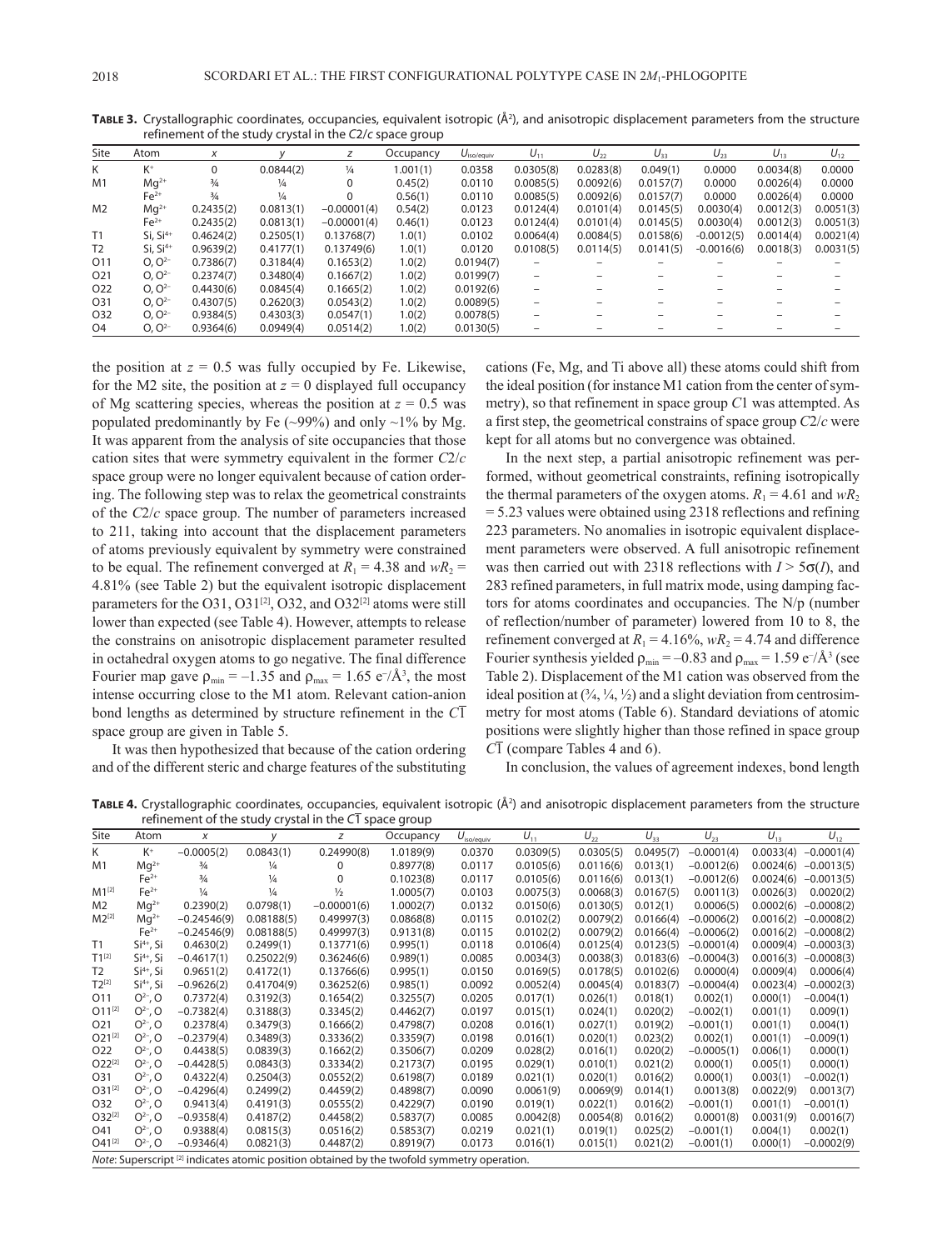| Site            | Atom                 | X             |               | z             | Occupancy | $U_{\text{iso/equiv}}$ | $U_{11}$                 | $U_{22}$  | $U_{33}$  | $U_{23}$     | $U_{13}$  | $U_{12}$  |
|-----------------|----------------------|---------------|---------------|---------------|-----------|------------------------|--------------------------|-----------|-----------|--------------|-----------|-----------|
|                 |                      |               |               |               |           |                        |                          |           |           |              |           |           |
| K               | $K^+$                | 0             | 0.0844(2)     | $\frac{1}{4}$ | 1.001(1)  | 0.0358                 | 0.0305(8)                | 0.0283(8) | 0.049(1)  | 0.0000       | 0.0034(8) | 0.0000    |
| M1              | $Mq^{2+}$            | $\frac{3}{4}$ | 1⁄4           | $\Omega$      | 0.45(2)   | 0.0110                 | 0.0085(5)                | 0.0092(6) | 0.0157(7) | 0.0000       | 0.0026(4) | 0.0000    |
|                 | $Fe2+$               | $\frac{3}{4}$ | $\frac{1}{4}$ | $\Omega$      | 0.56(1)   | 0.0110                 | 0.0085(5)                | 0.0092(6) | 0.0157(7) | 0.0000       | 0.0026(4) | 0.0000    |
| M <sub>2</sub>  | $Mq^{2+}$            | 0.2435(2)     | 0.0813(1)     | $-0.00001(4)$ | 0.54(2)   | 0.0123                 | 0.0124(4)                | 0.0101(4) | 0.0145(5) | 0.0030(4)    | 0.0012(3) | 0.0051(3) |
|                 | $Fe2+$               | 0.2435(2)     | 0.0813(1)     | $-0.00001(4)$ | 0.46(1)   | 0.0123                 | 0.0124(4)                | 0.0101(4) | 0.0145(5) | 0.0030(4)    | 0.0012(3) | 0.0051(3) |
| T1              | $Si. Si4+$           | 0.4624(2)     | 0.2505(1)     | 0.13768(7)    | 1.0(1)    | 0.0102                 | 0.0064(4)                | 0.0084(5) | 0.0158(6) | $-0.0012(5)$ | 0.0014(4) | 0.0021(4) |
| T <sub>2</sub>  | Si, Si <sup>4+</sup> | 0.9639(2)     | 0.4177(1)     | 0.13749(6)    | 1.0(1)    | 0.0120                 | 0.0108(5)                | 0.0114(5) | 0.0141(5) | $-0.0016(6)$ | 0.0018(3) | 0.0031(5) |
| O11             | $O. O^{2-}$          | 0.7386(7)     | 0.3184(4)     | 0.1653(2)     | 1.0(2)    | 0.0194(7)              | $\overline{\phantom{0}}$ |           |           |              |           |           |
| O <sub>21</sub> | $O. O^{2-}$          | 0.2374(7)     | 0.3480(4)     | 0.1667(2)     | 1.0(2)    | 0.0199(7)              |                          |           |           |              |           |           |
| O <sub>22</sub> | $O. O2-$             | 0.4430(6)     | 0.0845(4)     | 0.1665(2)     | 1.0(2)    | 0.0192(6)              | $\overline{\phantom{0}}$ |           |           |              |           |           |
| O31             | $O. O^{2-}$          | 0.4307(5)     | 0.2620(3)     | 0.0543(2)     | 1.0(2)    | 0.0089(5)              |                          |           |           |              |           |           |
| O32             | $O. O^{2-}$          | 0.9384(5)     | 0.4303(3)     | 0.0547(1)     | 1.0(2)    | 0.0078(5)              |                          |           |           |              |           |           |
| O <sub>4</sub>  | $O. O^{2-}$          | 0.9364(6)     | 0.0949(4)     | 0.0514(2)     | 1.0(2)    | 0.0130(5)              |                          |           |           |              |           |           |

TABLE 3. Crystallographic coordinates, occupancies, equivalent isotropic (Å<sup>2</sup>), and anisotropic displacement parameters from the structure refinement of the study crystal in the *C*2/*c* space group

the position at  $z = 0.5$  was fully occupied by Fe. Likewise, for the M2 site, the position at  $z = 0$  displayed full occupancy of Mg scattering species, whereas the position at  $z = 0.5$  was populated predominantly by Fe  $(\sim 99\%)$  and only  $\sim 1\%$  by Mg. It was apparent from the analysis of site occupancies that those cation sites that were symmetry equivalent in the former *C*2/*c* space group were no longer equivalent because of cation ordering. The following step was to relax the geometrical constraints of the *C*2/*c* space group. The number of parameters increased to 211, taking into account that the displacement parameters of atoms previously equivalent by symmetry were constrained to be equal. The refinement converged at  $R_1 = 4.38$  and  $wR_2 =$ 4.81% (see Table 2) but the equivalent isotropic displacement parameters for the O31, O31 $^{[2]}$ , O32, and O32 $^{[2]}$  atoms were still lower than expected (see Table 4). However, attempts to release the constrains on anisotropic displacement parameter resulted in octahedral oxygen atoms to go negative. The final difference Fourier map gave  $\rho_{\min} = -1.35$  and  $\rho_{\max} = 1.65 \text{ e}^{-}/\text{\AA}^3$ , the most intense occurring close to the M1 atom. Relevant cation-anion bond lengths as determined by structure refinement in the *C*1 space group are given in Table 5.

It was then hypothesized that because of the cation ordering and of the different steric and charge features of the substituting cations (Fe, Mg, and Ti above all) these atoms could shift from the ideal position (for instance M1 cation from the center of symmetry), so that refinement in space group *C*1 was attempted. As a first step, the geometrical constrains of space group *C*2/*c* were kept for all atoms but no convergence was obtained.

In the next step, a partial anisotropic refinement was performed, without geometrical constraints, refining isotropically the thermal parameters of the oxygen atoms.  $R_1 = 4.61$  and  $wR_2$ = 5.23 values were obtained using 2318 reflections and refining 223 parameters. No anomalies in isotropic equivalent displacement parameters were observed. A full anisotropic refinement was then carried out with 2318 reflections with  $I > 5\sigma(I)$ , and 283 refined parameters, in full matrix mode, using damping factors for atoms coordinates and occupancies. The N/p (number of reflection/number of parameter) lowered from 10 to 8, the refinement converged at  $R_1 = 4.16\%$ ,  $wR_2 = 4.74$  and difference Fourier synthesis yielded  $\rho_{\min} = -0.83$  and  $\rho_{\max} = 1.59 \text{ e}^{-}/\text{\AA}^{3}$  (see Table 2). Displacement of the M1 cation was observed from the ideal position at  $(\frac{3}{4}, \frac{1}{4}, \frac{1}{2})$  and a slight deviation from centrosimmetry for most atoms (Table 6). Standard deviations of atomic positions were slightly higher than those refined in space group *C*1 (compare Tables 4 and 6).

In conclusion, the values of agreement indexes, bond length

**Table 4.** Crystallographic coordinates, occupancies, equivalent isotropic (Å2 ) and anisotropic displacement parameters from the structure refinement of the study crystal in the  $C\overline{1}$  space group

| Site           | Atom                  | X             | v             | Z                                                                                                        | Occupancy | $U_{\text{iso/equiv}}$ | $U_{11}$  | $U_{22}$  | $U_{33}$  | $U_{23}$     | $U_{13}$  | $U_{12}$     |
|----------------|-----------------------|---------------|---------------|----------------------------------------------------------------------------------------------------------|-----------|------------------------|-----------|-----------|-----------|--------------|-----------|--------------|
| K.             | $K^+$                 | $-0.0005(2)$  | 0.0843(1)     | 0.24990(8)                                                                                               | 1.0189(9) | 0.0370                 | 0.0309(5) | 0.0305(5) | 0.0495(7) | $-0.0001(4)$ | 0.0033(4) | $-0.0001(4)$ |
| M1             | $Mq^{2+}$             | $\frac{3}{4}$ | $\frac{1}{4}$ | $\Omega$                                                                                                 | 0.8977(8) | 0.0117                 | 0.0105(6) | 0.0116(6) | 0.013(1)  | $-0.0012(6)$ | 0.0024(6) | $-0.0013(5)$ |
|                | $Fe2+$                | $\frac{3}{4}$ | $\frac{1}{4}$ | 0                                                                                                        | 0.1023(8) | 0.0117                 | 0.0105(6) | 0.0116(6) | 0.013(1)  | $-0.0012(6)$ | 0.0024(6) | $-0.0013(5)$ |
| $M1^{[2]}$     | $Fe2+$                | $\frac{1}{4}$ | $\frac{1}{4}$ | $\frac{1}{2}$                                                                                            | 1.0005(7) | 0.0103                 | 0.0075(3) | 0.0068(3) | 0.0167(5) | 0.0011(3)    | 0.0026(3) | 0.0020(2)    |
| M <sub>2</sub> | $Mq^{2+}$             | 0.2390(2)     | 0.0798(1)     | $-0.00001(6)$                                                                                            | 1.0002(7) | 0.0132                 | 0.0150(6) | 0.0130(5) | 0.012(1)  | 0.0006(5)    | 0.0002(6) | $-0.0008(2)$ |
| $M2^{[2]}$     | $Mq^{2+}$             | $-0.24546(9)$ | 0.08188(5)    | 0.49997(3)                                                                                               | 0.0868(8) | 0.0115                 | 0.0102(2) | 0.0079(2) | 0.0166(4) | $-0.0006(2)$ | 0.0016(2) | $-0.0008(2)$ |
|                | $Fe2+$                | $-0.24546(9)$ | 0.08188(5)    | 0.49997(3)                                                                                               | 0.9131(8) | 0.0115                 | 0.0102(2) | 0.0079(2) | 0.0166(4) | $-0.0006(2)$ | 0.0016(2) | $-0.0008(2)$ |
| T1             | $Si4+$ , Si           | 0.4630(2)     | 0.2499(1)     | 0.13771(6)                                                                                               | 0.995(1)  | 0.0118                 | 0.0106(4) | 0.0125(4) | 0.0123(5) | $-0.0001(4)$ | 0.0009(4) | $-0.0003(3)$ |
| $T1^{[2]}$     | $Si4+$ , Si           | $-0.4617(1)$  | 0.25022(9)    | 0.36246(6)                                                                                               | 0.989(1)  | 0.0085                 | 0.0034(3) | 0.0038(3) | 0.0183(6) | $-0.0004(3)$ | 0.0016(3) | $-0.0008(3)$ |
| T <sub>2</sub> | Si <sup>4+</sup> , Si | 0.9651(2)     | 0.4172(1)     | 0.13766(6)                                                                                               | 0.995(1)  | 0.0150                 | 0.0169(5) | 0.0178(5) | 0.0102(6) | 0.0000(4)    | 0.0009(4) | 0.0006(4)    |
| $T2^{[2]}$     | $Si4+$ , Si           | $-0.9626(2)$  | 0.41704(9)    | 0.36252(6)                                                                                               | 0.985(1)  | 0.0092                 | 0.0052(4) | 0.0045(4) | 0.0183(7) | $-0.0004(4)$ | 0.0023(4) | $-0.0002(3)$ |
| O11            | $O^{2-}$ , O          | 0.7372(4)     | 0.3192(3)     | 0.1654(2)                                                                                                | 0.3255(7) | 0.0205                 | 0.017(1)  | 0.026(1)  | 0.018(1)  | 0.002(1)     | 0.000(1)  | $-0.004(1)$  |
| $O11^{[2]}$    | $O^{2-}$ , O          | $-0.7382(4)$  | 0.3188(3)     | 0.3345(2)                                                                                                | 0.4462(7) | 0.0197                 | 0.015(1)  | 0.024(1)  | 0.020(2)  | $-0.002(1)$  | 0.001(1)  | 0.009(1)     |
| O21            | $O^{2-}$ , O          | 0.2378(4)     | 0.3479(3)     | 0.1666(2)                                                                                                | 0.4798(7) | 0.0208                 | 0.016(1)  | 0.027(1)  | 0.019(2)  | $-0.001(1)$  | 0.001(1)  | 0.004(1)     |
| $O21^{[2]}$    | $O^{2-}$ , O          | $-0.2379(4)$  | 0.3489(3)     | 0.3336(2)                                                                                                | 0.3359(7) | 0.0198                 | 0.016(1)  | 0.020(1)  | 0.023(2)  | 0.002(1)     | 0.001(1)  | $-0.009(1)$  |
| O22            | $O^{2-}$ , O          | 0.4438(5)     | 0.0839(3)     | 0.1662(2)                                                                                                | 0.3506(7) | 0.0209                 | 0.028(2)  | 0.016(1)  | 0.020(2)  | $-0.0005(1)$ | 0.006(1)  | 0.000(1)     |
| $O22^{[2]}$    | $O^{2-}$ , O          | $-0.4428(5)$  | 0.0843(3)     | 0.3334(2)                                                                                                | 0.2173(7) | 0.0195                 | 0.029(1)  | 0.010(1)  | 0.021(2)  | 0.000(1)     | 0.005(1)  | 0.000(1)     |
| O31            | $O^{2-}$ , O          | 0.4322(4)     | 0.2504(3)     | 0.0552(2)                                                                                                | 0.6198(7) | 0.0189                 | 0.021(1)  | 0.020(1)  | 0.016(2)  | 0.000(1)     | 0.003(1)  | $-0.002(1)$  |
| $O31^{[2]}$    | $O^{2-}$ , O          | $-0.4296(4)$  | 0.2499(2)     | 0.4459(2)                                                                                                | 0.4898(7) | 0.0090                 | 0.0061(9) | 0.0069(9) | 0.014(1)  | 0.0013(8)    | 0.0022(9) | 0.0013(7)    |
| O32            | $O^{2-}$ , O          | 0.9413(4)     | 0.4191(3)     | 0.0555(2)                                                                                                | 0.4229(7) | 0.0190                 | 0.019(1)  | 0.022(1)  | 0.016(2)  | $-0.001(1)$  | 0.001(1)  | $-0.001(1)$  |
| $O32^{[2]}$    | $O^{2-}$ , O          | $-0.9358(4)$  | 0.4187(2)     | 0.4458(2)                                                                                                | 0.5837(7) | 0.0085                 | 0.0042(8) | 0.0054(8) | 0.016(2)  | 0.0001(8)    | 0.0031(9) | 0.0016(7)    |
| O41            | $O^{2-}$ , O          | 0.9388(4)     | 0.0815(3)     | 0.0516(2)                                                                                                | 0.5853(7) | 0.0219                 | 0.021(1)  | 0.019(1)  | 0.025(2)  | $-0.001(1)$  | 0.004(1)  | 0.002(1)     |
| $O41^{[2]}$    | $O^{2-}$ , O          | $-0.9346(4)$  | 0.0821(3)     | 0.4487(2)                                                                                                | 0.8919(7) | 0.0173                 | 0.016(1)  | 0.015(1)  | 0.021(2)  | $-0.001(1)$  | 0.000(1)  | $-0.0002(9)$ |
|                |                       |               |               | <i>Note</i> : Superscript $^{[2]}$ indicates atomic position obtained by the twofold symmetry operation. |           |                        |           |           |           |              |           |              |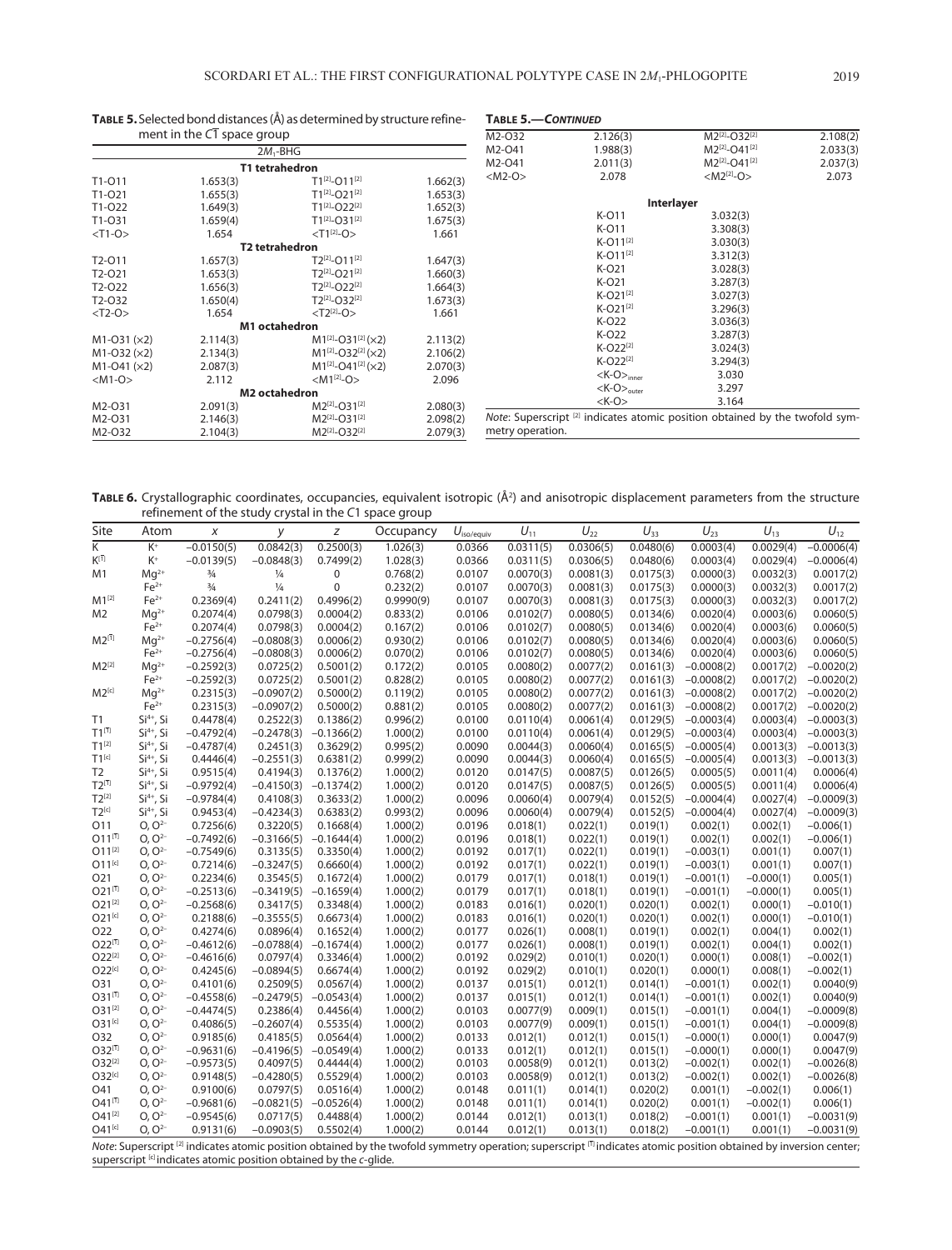|               | ment in the $C\overline{1}$ space group |                                       |          | M2-O32           | 2.126(3)                  | $M2^{[2]}-O32^{[2]}$                                                                    | 2.108(2) |
|---------------|-----------------------------------------|---------------------------------------|----------|------------------|---------------------------|-----------------------------------------------------------------------------------------|----------|
|               |                                         | $2M_1$ -BHG                           |          | M2-O41           | 1.988(3)                  | M2 <sup>[2]</sup> -O41 <sup>[2]</sup>                                                   | 2.033(3) |
|               |                                         | T1 tetrahedron                        |          | M2-O41           | 2.011(3)                  | M2 <sup>[2]</sup> -O41 <sup>[2]</sup>                                                   | 2.037(3) |
| T1-011        | 1.653(3)                                | $T1^{[2]}$ -011 <sup>[2]</sup>        | 1.662(3) | $<$ M2-O $>$     | 2.078                     | $ M2^{[2]}-O\rangle$                                                                    | 2.073    |
| T1-021        | 1.655(3)                                | T1 <sup>[2]</sup> -O21 <sup>[2]</sup> | 1.653(3) |                  |                           |                                                                                         |          |
| T1-022        | 1.649(3)                                | T1 <sup>[2]</sup> -O22 <sup>[2]</sup> | 1.652(3) |                  |                           | Interlayer                                                                              |          |
| T1-031        | 1.659(4)                                | $T1^{[2]}$ -O31 <sup>[2]</sup>        | 1.675(3) |                  | K-011                     | 3.032(3)                                                                                |          |
| $<$ T1-O $>$  | 1.654                                   | $<$ T1[2]-O>                          | 1.661    |                  | K-011                     | 3.308(3)                                                                                |          |
|               |                                         | T2 tetrahedron                        |          |                  | $K-O11^{[2]}$             | 3.030(3)                                                                                |          |
| T2-011        | 1.657(3)                                | $T2^{[2]} - O11^{[2]}$                | 1.647(3) |                  | $K-O11^{[2]}$             | 3.312(3)                                                                                |          |
| T2-021        | 1.653(3)                                | $T2^{[2]} - O21^{[2]}$                | 1.660(3) |                  | K-021                     | 3.028(3)                                                                                |          |
| T2-022        | 1.656(3)                                | T2 <sup>[2]</sup> -O22 <sup>[2]</sup> | 1.664(3) |                  | K-021                     | 3.287(3)                                                                                |          |
| T2-032        | 1.650(4)                                | $T2^{[2]}-O32^{[2]}$                  | 1.673(3) |                  | $K-O21^{[2]}$             | 3.027(3)                                                                                |          |
|               | 1.654                                   | $<$ T2 <sup>[2]</sup> -O>             |          |                  | $K-O21^{[2]}$             | 3.296(3)                                                                                |          |
| $<$ T2-O $>$  |                                         |                                       | 1.661    |                  | K-022                     | 3.036(3)                                                                                |          |
|               |                                         | M1 octahedron                         |          |                  | K-022                     | 3.287(3)                                                                                |          |
| $M1-O31 (x2)$ | 2.114(3)                                | $M1^{[2]}-O31^{[2]}(\times 2)$        | 2.113(2) |                  | $K-O22^{[2]}$             | 3.024(3)                                                                                |          |
| $M1-O32 (x2)$ | 2.134(3)                                | $M1^{[2]}-O32^{[2]}(x2)$              | 2.106(2) |                  | $K-O22^{[2]}$             | 3.294(3)                                                                                |          |
| $M1-O41 (x2)$ | 2.087(3)                                | $M1^{[2]}-O41^{[2]}(\times2)$         | 2.070(3) |                  | $<$ K-O $>_{inner}$       | 3.030                                                                                   |          |
| $<$ M1-O $>$  | 2.112                                   | $ M1^{[2]}-O\rangle$                  | 2.096    |                  | $K$ -O $>_{\text{outer}}$ | 3.297                                                                                   |          |
|               |                                         | <b>M2</b> octahedron                  |          |                  | $<$ K-O $>$               |                                                                                         |          |
| M2-O31        | 2.091(3)                                | M2 <sup>[2]</sup> -O31 <sup>[2]</sup> | 2.080(3) |                  |                           | 3.164                                                                                   |          |
| M2-O31        | 2.146(3)                                | $M2^{[2]}-O31^{[2]}$                  | 2.098(2) |                  |                           | Note: Superscript <sup>[2]</sup> indicates atomic position obtained by the twofold sym- |          |
| M2-032        | 2.104(3)                                | M2 <sup>[2]</sup> -O32 <sup>[2]</sup> | 2.079(3) | metry operation. |                           |                                                                                         |          |
|               |                                         |                                       |          |                  |                           |                                                                                         |          |

# **Table 5.**Selected bond distances (Å) as determined by structure refine-**Table 5.—***Continued*

TABLE 6. Crystallographic coordinates, occupancies, equivalent isotropic (Å<sup>2</sup>) and anisotropic displacement parameters from the structure refinement of the study crystal in the *C*1 space group

| Site               | Atom                  | X             | у             | z            | Occupancy                                                                                                                                                                                 | $U_{\text{iso/equiv}}$ | $U_{11}$  | $U_{22}$  | $U_{33}$  | $U_{23}$     | $U_{13}$    | $U_{12}$     |
|--------------------|-----------------------|---------------|---------------|--------------|-------------------------------------------------------------------------------------------------------------------------------------------------------------------------------------------|------------------------|-----------|-----------|-----------|--------------|-------------|--------------|
| K                  | $K^+$                 | $-0.0150(5)$  | 0.0842(3)     | 0.2500(3)    | 1.026(3)                                                                                                                                                                                  | 0.0366                 | 0.0311(5) | 0.0306(5) | 0.0480(6) | 0.0003(4)    | 0.0029(4)   | $-0.0006(4)$ |
| $K^{[1]}$          | $K^+$                 | $-0.0139(5)$  | $-0.0848(3)$  | 0.7499(2)    | 1.028(3)                                                                                                                                                                                  | 0.0366                 | 0.0311(5) | 0.0306(5) | 0.0480(6) | 0.0003(4)    | 0.0029(4)   | $-0.0006(4)$ |
| M1                 | $Mq^{2+}$             | $\frac{3}{4}$ | $\frac{1}{4}$ | 0            | 0.768(2)                                                                                                                                                                                  | 0.0107                 | 0.0070(3) | 0.0081(3) | 0.0175(3) | 0.0000(3)    | 0.0032(3)   | 0.0017(2)    |
|                    | $Fe2+$                | $\frac{3}{4}$ | $\frac{1}{4}$ | $\mathbf 0$  | 0.232(2)                                                                                                                                                                                  | 0.0107                 | 0.0070(3) | 0.0081(3) | 0.0175(3) | 0.0000(3)    | 0.0032(3)   | 0.0017(2)    |
| $M1^{[2]}$         | $Fe2+$                | 0.2369(4)     | 0.2411(2)     | 0.4996(2)    | 0.9990(9)                                                                                                                                                                                 | 0.0107                 | 0.0070(3) | 0.0081(3) | 0.0175(3) | 0.0000(3)    | 0.0032(3)   | 0.0017(2)    |
| M <sub>2</sub>     | $Mq^{2+}$             | 0.2074(4)     | 0.0798(3)     | 0.0004(2)    | 0.833(2)                                                                                                                                                                                  | 0.0106                 | 0.0102(7) | 0.0080(5) | 0.0134(6) | 0.0020(4)    | 0.0003(6)   | 0.0060(5)    |
|                    | $Fe2+$                | 0.2074(4)     | 0.0798(3)     | 0.0004(2)    | 0.167(2)                                                                                                                                                                                  | 0.0106                 | 0.0102(7) | 0.0080(5) | 0.0134(6) | 0.0020(4)    | 0.0003(6)   | 0.0060(5)    |
| $M2^{[1]}$         | $Mq^{2+}$             | $-0.2756(4)$  | $-0.0808(3)$  | 0.0006(2)    | 0.930(2)                                                                                                                                                                                  | 0.0106                 | 0.0102(7) | 0.0080(5) | 0.0134(6) | 0.0020(4)    | 0.0003(6)   | 0.0060(5)    |
|                    | $Fe2+$                | $-0.2756(4)$  | $-0.0808(3)$  | 0.0006(2)    | 0.070(2)                                                                                                                                                                                  | 0.0106                 | 0.0102(7) | 0.0080(5) | 0.0134(6) | 0.0020(4)    | 0.0003(6)   | 0.0060(5)    |
| $M2^{[2]}$         | $Mq^{2+}$             | $-0.2592(3)$  | 0.0725(2)     | 0.5001(2)    | 0.172(2)                                                                                                                                                                                  | 0.0105                 | 0.0080(2) | 0.0077(2) | 0.0161(3) | $-0.0008(2)$ | 0.0017(2)   | $-0.0020(2)$ |
|                    | $Fe2+$                | $-0.2592(3)$  | 0.0725(2)     | 0.5001(2)    | 0.828(2)                                                                                                                                                                                  | 0.0105                 | 0.0080(2) | 0.0077(2) | 0.0161(3) | $-0.0008(2)$ | 0.0017(2)   | $-0.0020(2)$ |
| $M2^{[c]}$         | $Mq^{2+}$             | 0.2315(3)     | $-0.0907(2)$  | 0.5000(2)    | 0.119(2)                                                                                                                                                                                  | 0.0105                 | 0.0080(2) | 0.0077(2) | 0.0161(3) | $-0.0008(2)$ | 0.0017(2)   | $-0.0020(2)$ |
|                    | $Fe2+$                | 0.2315(3)     | $-0.0907(2)$  | 0.5000(2)    | 0.881(2)                                                                                                                                                                                  | 0.0105                 | 0.0080(2) | 0.0077(2) | 0.0161(3) | $-0.0008(2)$ | 0.0017(2)   | $-0.0020(2)$ |
| T1                 | $Si4+$ , Si           | 0.4478(4)     | 0.2522(3)     | 0.1386(2)    | 0.996(2)                                                                                                                                                                                  | 0.0100                 | 0.0110(4) | 0.0061(4) | 0.0129(5) | $-0.0003(4)$ | 0.0003(4)   | $-0.0003(3)$ |
| $T1^{[1]}$         | Si <sup>4+</sup> , Si | $-0.4792(4)$  | $-0.2478(3)$  | $-0.1366(2)$ | 1.000(2)                                                                                                                                                                                  | 0.0100                 | 0.0110(4) | 0.0061(4) | 0.0129(5) | $-0.0003(4)$ | 0.0003(4)   | $-0.0003(3)$ |
| $T1^{[2]}$         | $Si4+, Si$            | $-0.4787(4)$  | 0.2451(3)     | 0.3629(2)    | 0.995(2)                                                                                                                                                                                  | 0.0090                 | 0.0044(3) | 0.0060(4) | 0.0165(5) | $-0.0005(4)$ | 0.0013(3)   | $-0.0013(3)$ |
| $T1^{[c]}$         | $Si4+$ , Si           | 0.4446(4)     | $-0.2551(3)$  | 0.6381(2)    | 0.999(2)                                                                                                                                                                                  | 0.0090                 | 0.0044(3) | 0.0060(4) | 0.0165(5) | $-0.0005(4)$ | 0.0013(3)   | $-0.0013(3)$ |
| T <sub>2</sub>     | Si <sup>4+</sup> , Si | 0.9515(4)     | 0.4194(3)     | 0.1376(2)    | 1.000(2)                                                                                                                                                                                  | 0.0120                 | 0.0147(5) | 0.0087(5) | 0.0126(5) | 0.0005(5)    | 0.0011(4)   | 0.0006(4)    |
| $T2^{[1]}$         | $Si4+$ , Si           | $-0.9792(4)$  | $-0.4150(3)$  | $-0.1374(2)$ | 1.000(2)                                                                                                                                                                                  | 0.0120                 | 0.0147(5) | 0.0087(5) | 0.0126(5) | 0.0005(5)    | 0.0011(4)   | 0.0006(4)    |
| $T2^{[2]}$         | $Si4+$ , Si           | $-0.9784(4)$  | 0.4108(3)     | 0.3633(2)    | 1.000(2)                                                                                                                                                                                  | 0.0096                 | 0.0060(4) | 0.0079(4) | 0.0152(5) | $-0.0004(4)$ | 0.0027(4)   | $-0.0009(3)$ |
| $T2^{[c]}$         | $Si4+, Si$            | 0.9453(4)     | $-0.4234(3)$  | 0.6383(2)    | 0.993(2)                                                                                                                                                                                  | 0.0096                 | 0.0060(4) | 0.0079(4) | 0.0152(5) | $-0.0004(4)$ | 0.0027(4)   | $-0.0009(3)$ |
| O11                | $O. O^{2-}$           | 0.7256(6)     | 0.3220(5)     | 0.1668(4)    | 1.000(2)                                                                                                                                                                                  | 0.0196                 | 0.018(1)  | 0.022(1)  | 0.019(1)  | 0.002(1)     | 0.002(1)    | $-0.006(1)$  |
| $011^{[1]}$        | $O, O^{2-}$           | $-0.7492(6)$  | $-0.3166(5)$  | $-0.1644(4)$ | 1.000(2)                                                                                                                                                                                  | 0.0196                 | 0.018(1)  | 0.022(1)  | 0.019(1)  | 0.002(1)     | 0.002(1)    | $-0.006(1)$  |
| $O11^{[2]}$        | $O, O^{2-}$           | $-0.7549(6)$  | 0.3135(5)     | 0.3350(4)    | 1.000(2)                                                                                                                                                                                  | 0.0192                 | 0.017(1)  | 0.022(1)  | 0.019(1)  | $-0.003(1)$  | 0.001(1)    | 0.007(1)     |
| $O11^{[c]}$        | $O. O^{2-}$           | 0.7214(6)     | $-0.3247(5)$  | 0.6660(4)    | 1.000(2)                                                                                                                                                                                  | 0.0192                 | 0.017(1)  | 0.022(1)  | 0.019(1)  | $-0.003(1)$  | 0.001(1)    | 0.007(1)     |
| O21                | $O. O^{2-}$           | 0.2234(6)     | 0.3545(5)     | 0.1672(4)    | 1.000(2)                                                                                                                                                                                  | 0.0179                 | 0.017(1)  | 0.018(1)  | 0.019(1)  | $-0.001(1)$  | $-0.000(1)$ | 0.005(1)     |
| $O21^{[1]}$        | $O, O^{2-}$           | $-0.2513(6)$  | $-0.3419(5)$  | $-0.1659(4)$ | 1.000(2)                                                                                                                                                                                  | 0.0179                 | 0.017(1)  | 0.018(1)  | 0.019(1)  | $-0.001(1)$  | $-0.000(1)$ | 0.005(1)     |
| $O21^{[2]}$        | $O. O^{2-}$           | $-0.2568(6)$  | 0.3417(5)     | 0.3348(4)    | 1.000(2)                                                                                                                                                                                  | 0.0183                 | 0.016(1)  | 0.020(1)  | 0.020(1)  | 0.002(1)     | 0.000(1)    | $-0.010(1)$  |
| $O21^{[c]}$        | $O, O^{2-}$           | 0.2188(6)     | $-0.3555(5)$  | 0.6673(4)    | 1.000(2)                                                                                                                                                                                  | 0.0183                 | 0.016(1)  | 0.020(1)  | 0.020(1)  | 0.002(1)     | 0.000(1)    | $-0.010(1)$  |
| 022                | $O. O^{2-}$           | 0.4274(6)     | 0.0896(4)     | 0.1652(4)    | 1.000(2)                                                                                                                                                                                  | 0.0177                 | 0.026(1)  | 0.008(1)  | 0.019(1)  | 0.002(1)     | 0.004(1)    | 0.002(1)     |
| $O22^{[1]}$        | $O. O^{2-}$           | $-0.4612(6)$  | $-0.0788(4)$  | $-0.1674(4)$ | 1.000(2)                                                                                                                                                                                  | 0.0177                 | 0.026(1)  | 0.008(1)  | 0.019(1)  | 0.002(1)     | 0.004(1)    | 0.002(1)     |
| $O22^{[2]}$        | $O, O2-$              | $-0.4616(6)$  | 0.0797(4)     | 0.3346(4)    | 1.000(2)                                                                                                                                                                                  | 0.0192                 | 0.029(2)  | 0.010(1)  | 0.020(1)  | 0.000(1)     | 0.008(1)    | $-0.002(1)$  |
| $O22^{[c]}$        | $O, O^{2-}$           | 0.4245(6)     | $-0.0894(5)$  | 0.6674(4)    | 1.000(2)                                                                                                                                                                                  | 0.0192                 | 0.029(2)  | 0.010(1)  | 0.020(1)  | 0.000(1)     | 0.008(1)    | $-0.002(1)$  |
| 031                | $O. O^{2-}$           | 0.4101(6)     | 0.2509(5)     | 0.0567(4)    | 1.000(2)                                                                                                                                                                                  | 0.0137                 | 0.015(1)  | 0.012(1)  | 0.014(1)  | $-0.001(1)$  | 0.002(1)    | 0.0040(9)    |
| $031^{[1]}$        | $O. O^{2-}$           | $-0.4558(6)$  | $-0.2479(5)$  | $-0.0543(4)$ | 1.000(2)                                                                                                                                                                                  | 0.0137                 | 0.015(1)  | 0.012(1)  | 0.014(1)  | $-0.001(1)$  | 0.002(1)    | 0.0040(9)    |
| O31 <sup>[2]</sup> | $O, O^{2-}$           | $-0.4474(5)$  | 0.2386(4)     | 0.4456(4)    | 1.000(2)                                                                                                                                                                                  | 0.0103                 | 0.0077(9) | 0.009(1)  | 0.015(1)  | $-0.001(1)$  | 0.004(1)    | $-0.0009(8)$ |
| $031^{[c]}$        | $O. O^{2-}$           | 0.4086(5)     | $-0.2607(4)$  | 0.5535(4)    | 1.000(2)                                                                                                                                                                                  | 0.0103                 | 0.0077(9) | 0.009(1)  | 0.015(1)  | $-0.001(1)$  | 0.004(1)    | $-0.0009(8)$ |
| O32                | $O, O^{2-}$           | 0.9185(6)     | 0.4185(5)     | 0.0564(4)    | 1.000(2)                                                                                                                                                                                  | 0.0133                 | 0.012(1)  | 0.012(1)  | 0.015(1)  | $-0.000(1)$  | 0.000(1)    | 0.0047(9)    |
| $O32^{[1]}$        | $O. O^{2-}$           | $-0.9631(6)$  | $-0.4196(5)$  | $-0.0549(4)$ | 1.000(2)                                                                                                                                                                                  | 0.0133                 | 0.012(1)  | 0.012(1)  | 0.015(1)  | $-0.000(1)$  | 0.000(1)    | 0.0047(9)    |
| $O32^{[2]}$        | $O, O^{2-}$           | $-0.9573(5)$  | 0.4097(5)     | 0.4444(4)    | 1.000(2)                                                                                                                                                                                  | 0.0103                 | 0.0058(9) | 0.012(1)  | 0.013(2)  | $-0.002(1)$  | 0.002(1)    | $-0.0026(8)$ |
| $O32^{[c]}$        | $O, O^{2-}$           | 0.9148(5)     | $-0.4280(5)$  | 0.5529(4)    | 1.000(2)                                                                                                                                                                                  | 0.0103                 | 0.0058(9) | 0.012(1)  | 0.013(2)  | $-0.002(1)$  | 0.002(1)    | $-0.0026(8)$ |
| O41                | $O, O^{2-}$           | 0.9100(6)     | 0.0797(5)     | 0.0516(4)    | 1.000(2)                                                                                                                                                                                  | 0.0148                 | 0.011(1)  | 0.014(1)  | 0.020(2)  | 0.001(1)     | $-0.002(1)$ | 0.006(1)     |
| $041^{[1]}$        | $O. O^{2-}$           | $-0.9681(6)$  | $-0.0821(5)$  | $-0.0526(4)$ | 1.000(2)                                                                                                                                                                                  | 0.0148                 | 0.011(1)  | 0.014(1)  | 0.020(2)  | 0.001(1)     | $-0.002(1)$ | 0.006(1)     |
| $O41^{[2]}$        | $O, O^{2-}$           | $-0.9545(6)$  | 0.0717(5)     | 0.4488(4)    | 1.000(2)                                                                                                                                                                                  | 0.0144                 | 0.012(1)  | 0.013(1)  | 0.018(2)  | $-0.001(1)$  | 0.001(1)    | $-0.0031(9)$ |
| O41 <sup>[c]</sup> | $O. O^{2-}$           | 0.9131(6)     | $-0.0903(5)$  | 0.5502(4)    | 1.000(2)                                                                                                                                                                                  | 0.0144                 | 0.012(1)  | 0.013(1)  | 0.018(2)  | $-0.001(1)$  | 0.001(1)    | $-0.0031(9)$ |
|                    |                       |               |               |              | Note: Superscript <sup>[2]</sup> indicates atomic position obtained by the twofold symmetry operation; superscript <sup>[1]</sup> indicates atomic position obtained by inversion center; |                        |           |           |           |              |             |              |

superscript [c] indicates atomic position obtained by the *c*-glide.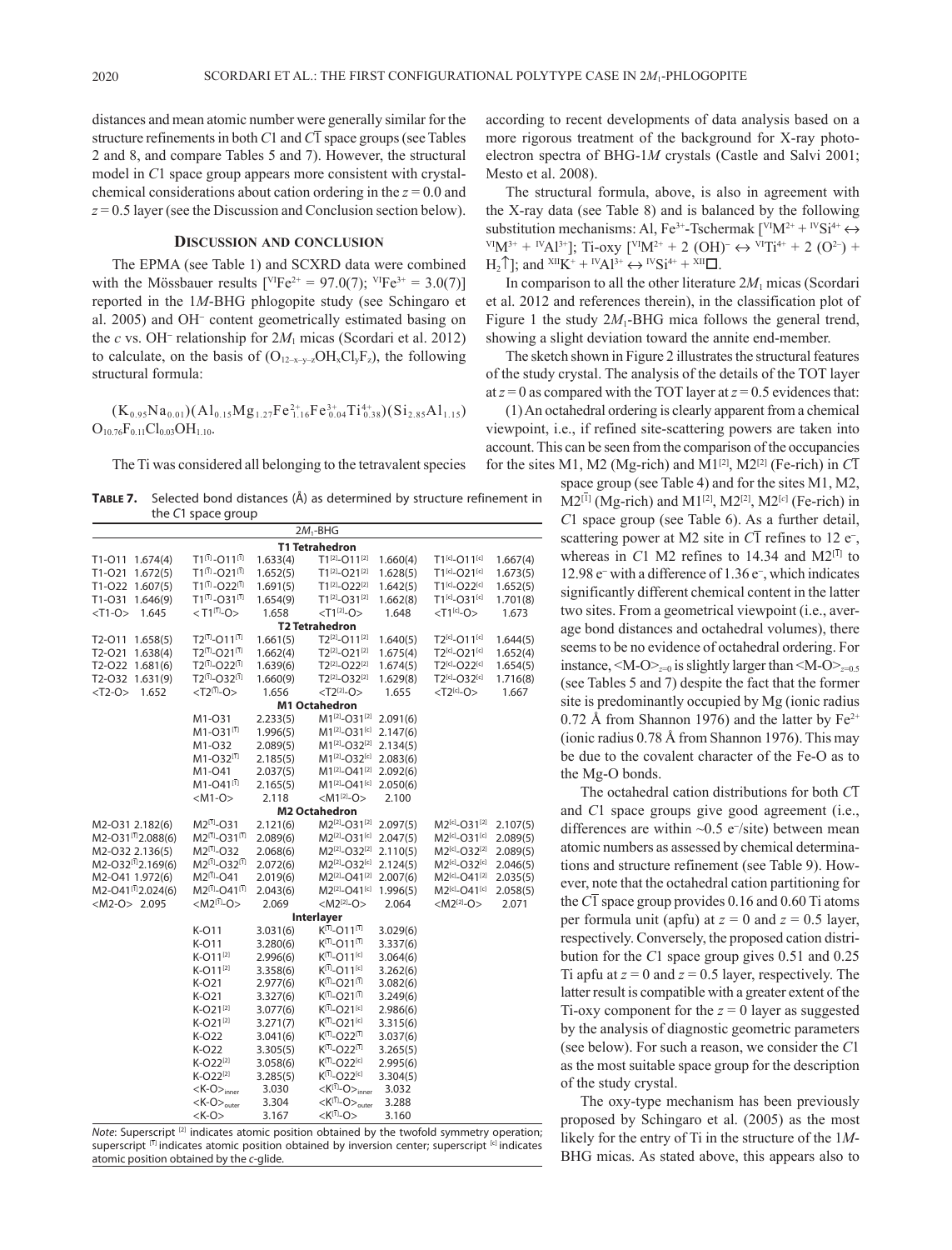distances and mean atomic number were generally similar for the structure refinements in both *C*1 and *C*1 space groups (see Tables 2 and 8, and compare Tables 5 and 7). However, the structural model in *C*1 space group appears more consistent with crystalchemical considerations about cation ordering in the *z* = 0.0 and *z* = 0.5 layer (see the Discussion and Conclusion section below).

### **Discussion and conclusion**

The EPMA (see Table 1) and SCXRD data were combined with the Mössbauer results  $[{}^{\text{VI}}\text{Fe}^{2+} = 97.0(7); {}^{\text{VI}}\text{Fe}^{3+} = 3.0(7)]$ reported in the 1*M*-BHG phlogopite study (see Schingaro et al. 2005) and OH<sup>−</sup> content geometrically estimated basing on the *c* vs. OH<sup>−</sup> relationship for 2*M*1 micas (Scordari et al. 2012) to calculate, on the basis of  $(O_{12-x-y-z}OH_xCl_yF_z)$ , the following structural formula:

 $(K_{0.95}Na_{0.01})(Al_{0.15}Mg_{1.27}Fe_{1.16}^{2+}Fe_{0.04}^{3+}Ti_{0.38}^{4+})(Si_{2.85}Al_{1.15})$  $O_{10.76}F_{0.11}Cl_{0.03}OH_{1.10}$ .

The Ti was considered all belonging to the tetravalent species

**Table 7.** Selected bond distances (Å) as determined by structure refinement in the *C*1 space group

|                                |                                              |          | $2M_1$ -BHG                                                   |          |                                       |          |
|--------------------------------|----------------------------------------------|----------|---------------------------------------------------------------|----------|---------------------------------------|----------|
|                                |                                              |          | <b>T1 Tetrahedron</b>                                         |          |                                       |          |
| T1-011 1.674(4)                | $T1^{[1]} - O11^{[1]}$                       | 1.633(4) | T1 <sup>[2]</sup> -O11 <sup>[2]</sup>                         | 1.660(4) | $T1^{[c]} - O11^{[c]}$                | 1.667(4) |
| T1-O21 1.672(5)                | $T1^{[1]} - O21^{[1]}$                       | 1.652(5) | T1 <sup>[2]</sup> -O21 <sup>[2]</sup>                         | 1.628(5) | T1 <sup>[c]</sup> -O21 <sup>[c]</sup> | 1.673(5) |
| T1-O22 1.607(5)                | $T1^{[1]} - O22^{[1]}$                       | 1.691(5) | T1[2]-O22[2]                                                  | 1.642(5) | T1[c]-O22[c]                          | 1.652(5) |
| T1-031 1.646(9)                | $T1^{[1]} - O31^{[1]}$                       | 1.654(9) | $T1^{[2]}-O31^{[2]}$                                          | 1.662(8) | $T1^{[c]} - O31^{[c]}$                | 1.701(8) |
| $<$ T1-O><br>1.645             | $<$ T1 <sup>[1]</sup> -O>                    | 1.658    | $<$ T1 <sup>[2]</sup> -O>                                     | 1.648    | $<$ T1 <sup>[c]</sup> -O>             | 1.673    |
|                                |                                              |          | <b>T2 Tetrahedron</b>                                         |          |                                       |          |
| T2-011 1.658(5)                | $T2^{[1]} - O11^{[1]}$                       | 1.661(5) | T2[2]-O11 <sup>[2]</sup>                                      | 1.640(5) | T2 <sup>[c]</sup> -O11 <sup>[c]</sup> | 1.644(5) |
| T2-O21 1.638(4)                | $T2^{[1]} - O21^{[1]}$                       | 1.662(4) | T2 <sup>[2]</sup> -O21 <sup>[2]</sup>                         | 1.675(4) | T2[c]-O21[c]                          | 1.652(4) |
| T2-O22 1.681(6)                | $T2^{[7]} - O22^{[7]}$                       | 1.639(6) | $T2^{[2]} - O22^{[2]}$                                        | 1.674(5) | T2[c]-O22[c]                          | 1.654(5) |
| T2-O32 1.631(9)                | $T2^{[1]} - O32^{[1]}$                       | 1.660(9) | T <sub>2</sub> <sup>[2]</sup> -O <sub>32</sub> <sup>[2]</sup> | 1.629(8) | T2[c]_O32[c]                          | 1.716(8) |
| $<$ T2-O><br>1.652             | $<$ T2 <sup>(<math>\bar{1}</math>)</sup> -O> | 1.656    | $<$ T2 <sup>[2]</sup> -O>                                     | 1.655    | $<$ T2 <sup>[c]</sup> -O>             | 1.667    |
|                                |                                              |          | <b>M1 Octahedron</b>                                          |          |                                       |          |
|                                | M1-031                                       | 2.233(5) | M1[2]-O31 <sup>[2]</sup> 2.091(6)                             |          |                                       |          |
|                                | $M1 - O31^{[1]}$                             | 1.996(5) | M1 <sup>[2]</sup> -O31 <sup>[c]</sup> 2.147(6)                |          |                                       |          |
|                                | M1-032                                       | 2.089(5) | $M1^{[2]}$ -O32 <sup>[2]</sup>                                | 2.134(5) |                                       |          |
|                                | $M1 - O32^{[1]}$                             | 2.185(5) | M1 <sup>[2]</sup> -O32 <sup>[c]</sup>                         | 2.083(6) |                                       |          |
|                                | M1-041                                       | 2.037(5) | M1 <sup>[2]</sup> -O41 <sup>[2]</sup>                         | 2.092(6) |                                       |          |
|                                | $M1 - O41^{[1]}$                             | 2.165(5) | $M1^{[2]}$ -O41 <sup>[c]</sup>                                | 2.050(6) |                                       |          |
|                                | $ M1-O\rangle$                               | 2.118    | $ M1^{[2]}-O\rangle$                                          | 2.100    |                                       |          |
|                                |                                              |          | <b>M2 Octahedron</b>                                          |          |                                       |          |
| M2-O31 2.182(6)                | $M2^{[1]} - O31$                             | 2.121(6) | $M2^{[2]}$ -O31 <sup>[2]</sup>                                | 2.097(5) | $M2^{[c]} - O31^{[2]}$                | 2.107(5) |
| M2-031[12.088(6)               | $M2^{[1]}$ -031 <sup>[1]</sup>               | 2.089(6) | $M2^{[2]}-O31^{[c]}$                                          | 2.047(5) | $M2^{[c]} - O31^{[c]}$                | 2.089(5) |
| M2-O32 2.136(5)                | M2 <sup>[1]</sup> -O32                       | 2.068(6) | M2 <sup>[2]</sup> -O32 <sup>[2]</sup>                         | 2.110(5) | $M2^{[c]} - O32^{[2]}$                | 2.089(5) |
| M2-O32 <sup>(1)</sup> 2.169(6) | $M2^{[1]}$ - $O32^{[1]}$                     | 2.072(6) | $M2^{[2]}$ -O32[c]                                            | 2.124(5) | $M2^{[c]} - O32^{[c]}$                | 2.046(5) |
| M2-O41 1.972(6)                | $M2^{[1]} - O41$                             | 2.019(6) | M2 <sup>[2]</sup> -O41 <sup>[2]</sup>                         | 2.007(6) | M2[c] <sub>-O41[2]</sub>              | 2.035(5) |
| M2-041[12.024(6)               | $M2^{[1]}$ - $O41^{[1]}$                     | 2.043(6) | $M2^{[2]}$ -O41 <sup>[c]</sup>                                | 1.996(5) | $M2^{[c]} - O41^{[c]}$                | 2.058(5) |
| $< M2-O > 2.095$               | < $M2^{[1]}$ -O>                             | 2.069    | $ M2^{[2]}$ -O>                                               | 2.064    | $ M2^{[2]}-O\rangle$                  | 2.071    |
|                                |                                              |          | <b>Interlayer</b>                                             |          |                                       |          |
|                                | K-011                                        | 3.031(6) | $K^{[1]}$ -011 <sup>[1]</sup>                                 | 3.029(6) |                                       |          |
|                                | K-011                                        | 3.280(6) | $K^{[1]}$ -011 <sup>[1]</sup>                                 | 3.337(6) |                                       |          |
|                                | K-011 <sup>[2]</sup>                         | 2.996(6) | $K^{[1]}$ -011 <sup>[c]</sup>                                 | 3.064(6) |                                       |          |
|                                | K-011 <sup>[2]</sup>                         | 3.358(6) | $K^{[1]}$ -011 <sup>[c]</sup>                                 | 3.262(6) |                                       |          |
|                                | $K-O21$                                      | 2.977(6) | $K^{[1]}$ -O21 <sup>[1]</sup>                                 | 3.082(6) |                                       |          |
|                                | K-021                                        | 3.327(6) | $K^{[1]}$ -O21 <sup>[1]</sup>                                 | 3.249(6) |                                       |          |
|                                | K-O21[2]                                     | 3.077(6) | $K^{[1]}$ -O21[c]                                             | 2.986(6) |                                       |          |
|                                | $K-O21^{[2]}$                                | 3.271(7) | $K^{[1]}$ -O21[c]                                             | 3.315(6) |                                       |          |
|                                | K-022                                        | 3.041(6) | $K^{[1]}$ -O22 <sup>[1]</sup>                                 | 3.037(6) |                                       |          |
|                                | K-022                                        | 3.305(5) | $K^{[1]}$ -O22 <sup>[1]</sup>                                 | 3.265(5) |                                       |          |
|                                | $K-O22^{[2]}$                                | 3.058(6) | $K^{[1]}$ -O22 <sup>[c]</sup>                                 | 2.995(6) |                                       |          |
|                                | $K$ -O22 <sup>[2]</sup>                      | 3.285(5) | $K^{[\overline{1}]}$ -O22[c]                                  | 3.304(5) |                                       |          |
|                                | $K$ -O $>_{inner}$                           | 3.030    | $\langle K^{[\overline{1}]}$ -O $>_{\text{inner}}$            | 3.032    |                                       |          |
|                                | $K$ -O $>_{\text{outer}}$                    | 3.304    | $\langle K^{[T]}$ -O $>_{\text{outer}}$                       | 3.288    |                                       |          |
|                                | $<$ K-O $>$                                  | 3.167    | $<$ K <sup>[1]</sup> -O>                                      | 3.160    |                                       |          |

*Note*: Superscript<sup>[2]</sup> indicates atomic position obtained by the twofold symmetry operation; superscript [1] indicates atomic position obtained by inversion center; superscript [c] indicates atomic position obtained by the *c*-glide.

according to recent developments of data analysis based on a more rigorous treatment of the background for X-ray photoelectron spectra of BHG-1*M* crystals (Castle and Salvi 2001; Mesto et al. 2008).

The structural formula, above, is also in agreement with the X-ray data (see Table 8) and is balanced by the following substitution mechanisms: Al, Fe<sup>3+</sup>-Tschermak  $\lbrack \nabla^{V}M^{2+} + \nabla^{V}S^{14+} \leftrightarrow$ VIM<sup>3+</sup> + <sup>IV</sup>Al<sup>3+</sup>]; Ti-oxy [<sup>VI</sup>M<sup>2+</sup> + 2 (OH)<sup>-</sup> ↔ <sup>VI</sup>Ti<sup>4+</sup> + 2 (O<sup>2-</sup>) +  $H_2 \hat{\mathcal{T}}$ ; and  ${}^{\text{XII}}\text{K}^+ + {}^{\text{IV}}\text{Al}^{3+} \leftrightarrow {}^{\text{IV}}\text{Si}^{4+} + {}^{\text{XII}}\text{Cl}$ .

In comparison to all the other literature 2*M*1 micas (Scordari et al. 2012 and references therein), in the classification plot of Figure 1 the study  $2M_1$ -BHG mica follows the general trend, showing a slight deviation toward the annite end-member.

The sketch shown in Figure 2 illustrates the structural features of the study crystal. The analysis of the details of the TOT layer at  $z = 0$  as compared with the TOT layer at  $z = 0.5$  evidences that:

(1) An octahedral ordering is clearly apparent from a chemical viewpoint, i.e., if refined site-scattering powers are taken into account. This can be seen from the comparison of the occupancies for the sites M1, M2 (Mg-rich) and M1<sup>[2]</sup>, M2<sup>[2]</sup> (Fe-rich) in  $C\overline{1}$ 

> space group (see Table 4) and for the sites M1, M2, M2<sup>[1]</sup> (Mg-rich) and M1<sup>[2]</sup>, M2<sup>[2]</sup>, M2<sup>[*c*]</sup> (Fe-rich) in *C*1 space group (see Table 6). As a further detail, scattering power at M2 site in  $\overline{CI}$  refines to 12 e<sup>-</sup>, whereas in  $C1$  M2 refines to 14.34 and  $M2^{[1]}$  to 12.98 e<sup>−</sup> with a difference of 1.36 e<sup>−</sup> , which indicates significantly different chemical content in the latter two sites. From a geometrical viewpoint (i.e., average bond distances and octahedral volumes), there seems to be no evidence of octahedral ordering. For instance,  $\langle M-O \rangle_{z=0}$  is slightly larger than  $\langle M-O \rangle_{z=0.5}$ (see Tables 5 and 7) despite the fact that the former site is predominantly occupied by Mg (ionic radius 0.72 Å from Shannon 1976) and the latter by  $Fe^{2+}$ (ionic radius 0.78 Å from Shannon 1976). This may be due to the covalent character of the Fe-O as to the Mg-O bonds.

> The octahedral cation distributions for both *C*1 and *C*1 space groups give good agreement (i.e., differences are within ~0.5 e<sup>−</sup> /site) between mean atomic numbers as assessed by chemical determinations and structure refinement (see Table 9). However, note that the octahedral cation partitioning for the  $C\overline{1}$  space group provides 0.16 and 0.60 Ti atoms per formula unit (apfu) at  $z = 0$  and  $z = 0.5$  layer, respectively. Conversely, the proposed cation distribution for the *C*1 space group gives 0.51 and 0.25 Ti apfu at  $z = 0$  and  $z = 0.5$  layer, respectively. The latter result is compatible with a greater extent of the Ti-oxy component for the  $z = 0$  layer as suggested by the analysis of diagnostic geometric parameters (see below). For such a reason, we consider the *C*1 as the most suitable space group for the description of the study crystal.

> The oxy-type mechanism has been previously proposed by Schingaro et al. (2005) as the most likely for the entry of Ti in the structure of the 1*M*-BHG micas. As stated above, this appears also to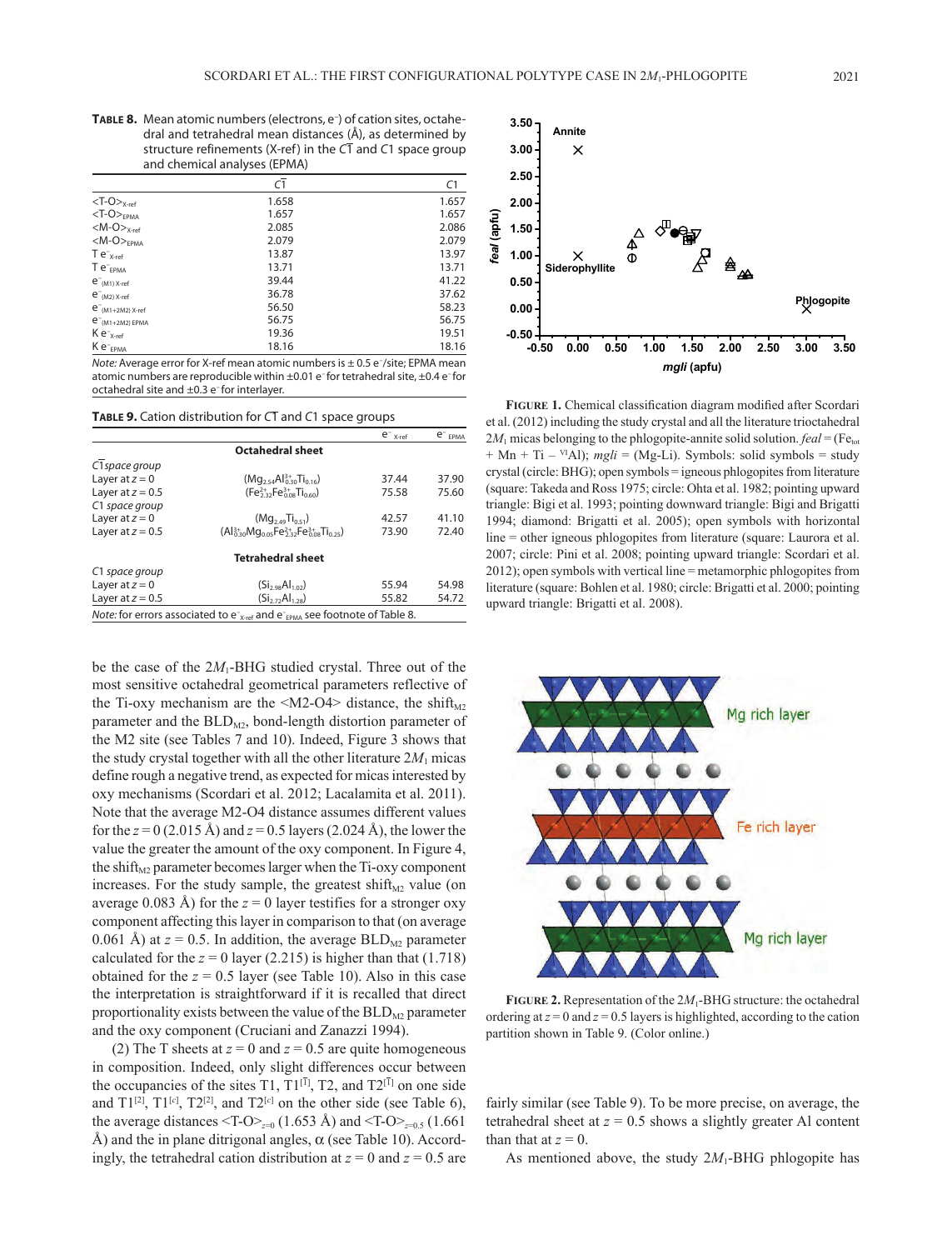TABLE 8. Mean atomic numbers (electrons, e<sup>-</sup>) of cation sites, octahedral and tetrahedral mean distances (Å), as determined by structure refinements (X-ref) in the *C*1 and *C*1 space group and chemical analyses (EPMA)

|                                   | C1    | C1    |
|-----------------------------------|-------|-------|
| $<$ T-O $>_{X\text{-ref}}$        | 1.658 | 1.657 |
| $<$ T-O $>$ <sub>EPMA</sub>       | 1.657 | 1.657 |
| $ M$ -O $>_{X\text{-ref}}$        | 2.085 | 2.086 |
| $<\!\!M$ -O $>_{EPMA}$            | 2.079 | 2.079 |
| $Te^{-}_{X-ref}$                  | 13.87 | 13.97 |
| $Te^-_{EPMA}$                     | 13.71 | 13.71 |
| $e^-$ <sub>(M1)</sub> $X$ -ref    | 39.44 | 41.22 |
| $e^-$ <sub>(M2)</sub> $x$ -ref    | 36.78 | 37.62 |
| $e^{-}$ <sub>(M1+2M2)</sub> x-ref | 56.50 | 58.23 |
| $e^{-}$ <sub>(M1+2M2)</sub> EPMA  | 56.75 | 56.75 |
| $K e^{-X - ref}$                  | 19.36 | 19.51 |
| $K e^-_{EPMA}$                    | 18.16 | 18.16 |

Note: Average error for X-ref mean atomic numbers is  $\pm$  0.5 e<sup>-</sup>/site; EPMA mean atomic numbers are reproducible within  $\pm 0.01$  e-for tetrahedral site,  $\pm 0.4$  e-for octahedral site and ±0.3 e<sup>-</sup> for interlayer.

### **Table 9.** Cation distribution for *C*1 and *C*1 space groups

|                    |                                                                                                                       | $e^-$ <sub>X-ref</sub> | $e^-$ EPMA |
|--------------------|-----------------------------------------------------------------------------------------------------------------------|------------------------|------------|
|                    | <b>Octahedral sheet</b>                                                                                               |                        |            |
| C1 space group     |                                                                                                                       |                        |            |
| Layer at $z = 0$   | $(Mq_{2.54}Al_{0.30}^{3+}Ti_{0.16})$                                                                                  | 37.44                  | 37.90      |
| Layer at $z = 0.5$ | $(Fe3+32,Fe3+0.60)$                                                                                                   | 75.58                  | 75.60      |
| C1 space group     |                                                                                                                       |                        |            |
| Layer at $z = 0$   | $(Mq_{2.49}Ti_{0.51})$                                                                                                | 42.57                  | 41.10      |
| Layer at $z = 0.5$ | $(AI_{0.30}^{3+}Mq_{0.05}Fe_{23.2}^{2+}Fe_{0.08}^{3+}Ti_{0.25})$                                                      | 73.90                  | 72.40      |
|                    | <b>Tetrahedral sheet</b>                                                                                              |                        |            |
| C1 space group     |                                                                                                                       |                        |            |
| Layer at $z = 0$   | $(Si_{2}Q_{8}Al_{1}Q_{2})$                                                                                            | 55.94                  | 54.98      |
| Layer at $z = 0.5$ | $(Si_{272}Al_{128})$                                                                                                  | 55.82                  | 54.72      |
|                    | <i>Note:</i> for errors associated to $e^{-x}$ <sub>x-ref</sub> and $e^{-x}$ <sub>FPMA</sub> see footnote of Table 8. |                        |            |

be the case of the 2M<sub>1</sub>-BHG studied crystal. Three out of the most sensitive octahedral geometrical parameters reflective of the Ti-oxy mechanism are the  $\langle M2-O4 \rangle$  distance, the shift<sub>M2</sub> parameter and the  $BLD<sub>M2</sub>$ , bond-length distortion parameter of the M2 site (see Tables 7 and 10). Indeed, Figure 3 shows that the study crystal together with all the other literature  $2M_1$  micas define rough a negative trend, as expected for micas interested by oxy mechanisms (Scordari et al. 2012; Lacalamita et al. 2011). Note that the average M2-O4 distance assumes different values for the *z* = 0 (2.015 Å) and *z* = 0.5 layers (2.024 Å), the lower the value the greater the amount of the oxy component. In Figure 4, the shift<sub>M2</sub> parameter becomes larger when the Ti-oxy component increases. For the study sample, the greatest shift<sub>M2</sub> value (on average 0.083 Å) for the  $z = 0$  layer testifies for a stronger oxy component affecting this layer in comparison to that (on average 0.061 Å) at  $z = 0.5$ . In addition, the average  $BLD<sub>M2</sub>$  parameter calculated for the  $z = 0$  layer (2.215) is higher than that (1.718) obtained for the  $z = 0.5$  layer (see Table 10). Also in this case the interpretation is straightforward if it is recalled that direct proportionality exists between the value of the  $BLD_{M2}$  parameter and the oxy component (Cruciani and Zanazzi 1994).

(2) The T sheets at  $z = 0$  and  $z = 0.5$  are quite homogeneous in composition. Indeed, only slight differences occur between the occupancies of the sites T1,  $T1^{[1]}$ , T2, and  $T2^{[1]}$  on one side and  $T1^{[2]}$ ,  $T1^{[c]}$ ,  $T2^{[2]}$ , and  $T2^{[c]}$  on the other side (see Table 6), the average distances <T-O><sub> $z=0$ </sub> (1.653 Å) and <T-O><sub> $z=0.5$ </sub> (1.661 Å) and the in plane ditrigonal angles,  $\alpha$  (see Table 10). Accordingly, the tetrahedral cation distribution at  $z = 0$  and  $z = 0.5$  are



**FIGURE 1.** Chemical classification diagram modified after Scordari et al. (2012) including the study crystal and all the literature trioctahedral  $2M_1$  micas belonging to the phlogopite-annite solid solution. *feal* = (Fe<sub>tot</sub> + Mn + Ti – VIAl); *mgli* = (Mg-Li). Symbols: solid symbols = study crystal (circle: BHG); open symbols = igneous phlogopites from literature (square: Takeda and Ross 1975; circle: Ohta et al. 1982; pointing upward triangle: Bigi et al. 1993; pointing downward triangle: Bigi and Brigatti 1994; diamond: Brigatti et al. 2005); open symbols with horizontal line = other igneous phlogopites from literature (square: Laurora et al. 2007; circle: Pini et al. 2008; pointing upward triangle: Scordari et al. 2012); open symbols with vertical line = metamorphic phlogopites from literature (square: Bohlen et al. 1980; circle: Brigatti et al. 2000; pointing upward triangle: Brigatti et al. 2008).



**Figure 2**  partition shown in Table 9. (Color online.) **Figure 2.** Representation of the 2*M*1-BHG structure: the octahedral ordering at  $z = 0$  and  $z = 0.5$  layers is highlighted, according to the cation

fairly similar (see Table 9). To be more precise, on average, the tetrahedral sheet at  $z = 0.5$  shows a slightly greater Al content than that at  $z = 0$ .

As mentioned above, the study  $2M_1$ -BHG phlogopite has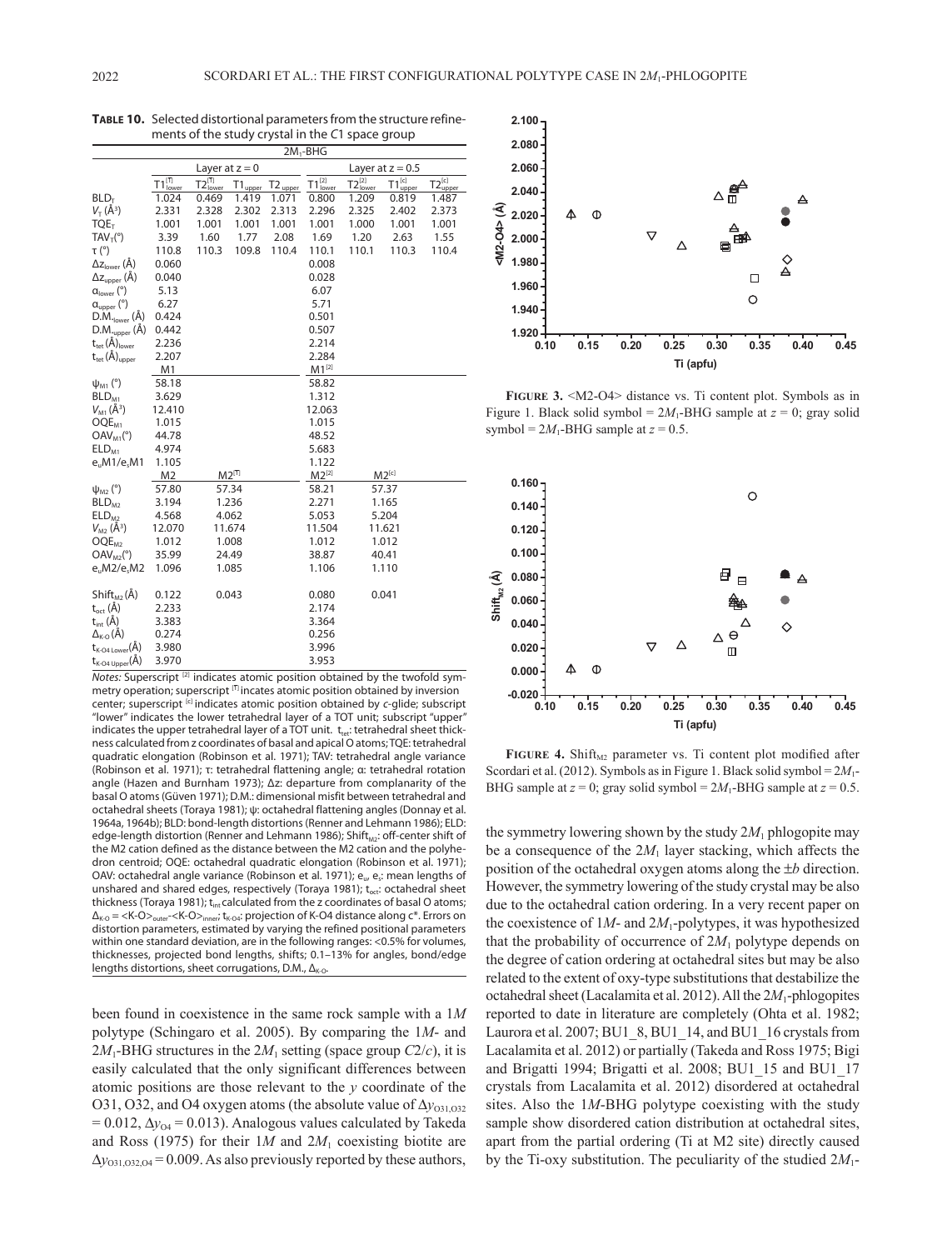|                                             |                               |                                      |              |                     | $2M_1$ -BHG        |                    |                           |                           |  |  |
|---------------------------------------------|-------------------------------|--------------------------------------|--------------|---------------------|--------------------|--------------------|---------------------------|---------------------------|--|--|
|                                             |                               | Layer at $z = 0$                     |              |                     |                    | Layer at $z = 0.5$ |                           |                           |  |  |
|                                             | $T1^{[\overline{1}]}_{lower}$ | $T2_{\text{lower}}^{[\overline{1}]}$ | $T1_{upper}$ | $T2_{\text{upper}}$ | $T1^{[2]}_{lower}$ | $T2_{lower}^{[2]}$ | $T1_{\text{upper}}^{[c]}$ | $T2_{\text{upper}}^{[c]}$ |  |  |
| BLD <sub>T</sub>                            | 1.024                         | 0.469                                | 1.419        | 1.071               | 0.800              | 1.209              | 0.819                     | 1.487                     |  |  |
| $V_T(\AA^3)$                                | 2.331                         | 2.328                                | 2.302        | 2.313               | 2.296              | 2.325              | 2.402                     | 2.373                     |  |  |
| TOE <sub>T</sub>                            | 1.001                         | 1.001                                | 1.001        | 1.001               | 1.001              | 1.000              | 1.001                     | 1.001                     |  |  |
| $TAV_T(°)$                                  | 3.39                          | 1.60                                 | 1.77         | 2.08                | 1.69               | 1.20               | 2.63                      | 1.55                      |  |  |
| $\tau$ (°)                                  | 110.8                         | 110.3                                | 109.8        | 110.4               | 110.1              | 110.1              | 110.3                     | 110.4                     |  |  |
| $\Delta z_{\text{lower}}(\text{\AA})$       | 0.060                         |                                      |              |                     | 0.008              |                    |                           |                           |  |  |
| $\Delta z$ <sub>upper</sub> (Å)             | 0.040                         |                                      |              |                     | 0.028              |                    |                           |                           |  |  |
| $\alpha_{\text{lower}}$ (°)                 | 5.13                          |                                      |              |                     | 6.07               |                    |                           |                           |  |  |
| $a_{\text{upper}}$ (°)                      | 6.27                          |                                      |              |                     | 5.71               |                    |                           |                           |  |  |
| $D.M.$ <sub>lower</sub> $(A)$               | 0.424                         |                                      |              |                     | 0.501              |                    |                           |                           |  |  |
| $D.M._{upper}(\AA)$                         | 0.442                         |                                      |              |                     | 0.507              |                    |                           |                           |  |  |
| $t_{\text{tet}}(\check{A})_{\text{lower}}$  | 2.236                         |                                      |              |                     | 2.214              |                    |                           |                           |  |  |
| $t_{\text{tet}}(\text{\AA})_{\text{upper}}$ | 2.207                         |                                      |              |                     | 2.284              |                    |                           |                           |  |  |
|                                             | M1                            |                                      |              |                     | $M1^{[2]}$         |                    |                           |                           |  |  |
| $\psi_{M1}$ (°)                             | 58.18                         |                                      |              |                     | 58.82              |                    |                           |                           |  |  |
| BLD <sub>M1</sub>                           | 3.629                         |                                      |              |                     | 1.312              |                    |                           |                           |  |  |
| $V_{M1}(\AA^3)$                             | 12.410                        |                                      |              |                     | 12.063             |                    |                           |                           |  |  |
| OQE <sub>M1</sub>                           | 1.015                         |                                      |              |                     | 1.015              |                    |                           |                           |  |  |
| $OAV_{M1}(°)$                               | 44.78                         |                                      |              |                     | 48.52              |                    |                           |                           |  |  |
| ELD <sub>M1</sub>                           | 4.974                         |                                      |              |                     | 5.683              |                    |                           |                           |  |  |
| e, M1/e, M1                                 | 1.105                         |                                      |              |                     | 1.122              |                    |                           |                           |  |  |
|                                             | M <sub>2</sub>                |                                      | $M2^{[1]}$   |                     | $M2^{[2]}$         |                    | $M2^{[c]}$                |                           |  |  |
| $\psi_{M2}$ (°)                             | 57.80                         |                                      | 57.34        |                     | 58.21              |                    | 57.37                     |                           |  |  |
| BLD <sub>M2</sub>                           | 3.194                         |                                      | 1.236        |                     | 2.271              |                    | 1.165                     |                           |  |  |
| ELD <sub>M2</sub>                           | 4.568                         |                                      | 4.062        |                     | 5.053              |                    | 5.204                     |                           |  |  |
| $V_{M2}(\AA^3)$                             | 12.070                        |                                      | 11.674       |                     | 11.504             |                    | 11.621                    |                           |  |  |
| OQE <sub>M2</sub>                           | 1.012                         |                                      | 1.008        |                     | 1.012              |                    | 1.012                     |                           |  |  |
| $\textsf{OAV}_{M2}^{\bullet}(\degree)$      | 35.99                         |                                      | 24.49        |                     | 38.87              |                    | 40.41                     |                           |  |  |
| e <sub>u</sub> M2/e <sub>s</sub> M2         | 1.096                         |                                      | 1.085        |                     | 1.106              |                    | 1.110                     |                           |  |  |
| $Shift_{M2}(\AA)$                           | 0.122                         |                                      | 0.043        |                     | 0.080              |                    | 0.041                     |                           |  |  |
| $t_{\rm oct}$ (Å)                           | 2.233                         |                                      |              |                     | 2.174              |                    |                           |                           |  |  |
| $t_{int}(\AA)$                              | 3.383                         |                                      |              |                     | 3.364              |                    |                           |                           |  |  |
| $\Delta_{\textrm{K-O}}(\textrm{\AA})$       | 0.274                         |                                      |              |                     | 0.256              |                    |                           |                           |  |  |
| $t_{K-O4\,Lower}(A)$                        | 3.980                         |                                      |              |                     | 3.996              |                    |                           |                           |  |  |
| $t_{K\text{-}04\,\text{Upper}}(\check{A})$  | 3.970                         |                                      |              |                     | 3.953              |                    |                           |                           |  |  |

**Table 10.** Selected distortional parameters from the structure refinements of the study crystal in the *C*1 space group

*Notes:* Superscript<sup>[2]</sup> indicates atomic position obtained by the twofold symmetry operation; superscript [1] incates atomic position obtained by inversion center; superscript [c] indicates atomic position obtained by *c*-glide; subscript "lower" indicates the lower tetrahedral layer of a TOT unit; subscript "upper" indicates the upper tetrahedral layer of a TOT unit.  $t_{tot}$ : tetrahedral sheet thickness calculated from z coordinates of basal and apical O atoms; TQE: tetrahedral quadratic elongation (Robinson et al. 1971); TAV: tetrahedral angle variance (Robinson et al. 1971); τ: tetrahedral flattening angle; α: tetrahedral rotation angle (Hazen and Burnham 1973); Δz: departure from complanarity of the basal O atoms (Güven 1971); D.M.: dimensional misfit between tetrahedral and octahedral sheets (Toraya 1981); ψ: octahedral flattening angles (Donnay et al. 1964a, 1964b); BLD: bond-length distortions (Renner and Lehmann 1986); ELD: edge-length distortion (Renner and Lehmann 1986); Shift<sub>M2</sub>: off-center shift of the M2 cation defined as the distance between the M2 cation and the polyhedron centroid; OQE: octahedral quadratic elongation (Robinson et al. 1971); OAV: octahedral angle variance (Robinson et al. 1971); eu, es: mean lengths of unshared and shared edges, respectively (Toraya 1981);  $t_{\text{oct}}$ : octahedral sheet thickness (Toraya 1981);  $t_{int}$  calculated from the z coordinates of basal O atoms;  $\Delta_{K-O}$  = <K-O><sub>outer</sub>-<K-O><sub>inner</sub>; t<sub>K-O4</sub>: projection of K-O4 distance along c\*. Errors on distortion parameters, estimated by varying the refined positional parameters within one standard deviation, are in the following ranges: <0.5% for volumes, thicknesses, projected bond lengths, shifts; 0.1–13% for angles, bond/edge lengths distortions, sheet corrugations, D.M.,  $\Delta_{K-O}$ 

been found in coexistence in the same rock sample with a 1*M* polytype (Schingaro et al. 2005). By comparing the 1*M*- and  $2M_1$ -BHG structures in the  $2M_1$  setting (space group  $C_2/c$ ), it is easily calculated that the only significant differences between atomic positions are those relevant to the *y* coordinate of the O31, O32, and O4 oxygen atoms (the absolute value of ∆*y*<sub>O31,O32</sub>  $= 0.012$ ,  $\Delta y_{04} = 0.013$ ). Analogous values calculated by Takeda and Ross (1975) for their 1*M* and 2*M*1 coexisting biotite are  $\Delta y_{031,032,04} = 0.009$ . As also previously reported by these authors,



**Figure 3.** <M2-O4> distance vs. Ti content plot. Symbols as in Figure 1. Black solid symbol =  $2M_1$ -BHG sample at  $z = 0$ ; gray solid symbol =  $2M_1$ -BHG sample at  $z = 0.5$ .



**FIGURE** 4. Shift<sub>M2</sub> parameter vs. Ti content plot modified after  $\frac{1}{2}$ Scordari et al. (2012). Symbols as in Figure 1. Black solid symbol =  $2M_1$ -BHG sample at  $z = 0$ ; gray solid symbol =  $2M_1$ -BHG sample at  $z = 0.5$ .

the symmetry lowering shown by the study  $2M_1$  phlogopite may be a consequence of the  $2M_1$  layer stacking, which affects the position of the octahedral oxygen atoms along the ±*b* direction. However, the symmetry lowering of the study crystal may be also due to the octahedral cation ordering. In a very recent paper on the coexistence of  $1M$ - and  $2M_1$ -polytypes, it was hypothesized that the probability of occurrence of  $2M_1$  polytype depends on the degree of cation ordering at octahedral sites but may be also related to the extent of oxy-type substitutions that destabilize the octahedral sheet (Lacalamita et al. 2012). All the 2*M*1-phlogopites reported to date in literature are completely (Ohta et al. 1982; Laurora et al. 2007; BU1\_8, BU1\_14, and BU1\_16 crystals from Lacalamita et al. 2012) or partially (Takeda and Ross 1975; Bigi and Brigatti 1994; Brigatti et al. 2008; BU1\_15 and BU1\_17 crystals from Lacalamita et al. 2012) disordered at octahedral sites. Also the 1*M*-BHG polytype coexisting with the study sample show disordered cation distribution at octahedral sites, apart from the partial ordering (Ti at M2 site) directly caused by the Ti-oxy substitution. The peculiarity of the studied 2*M*1